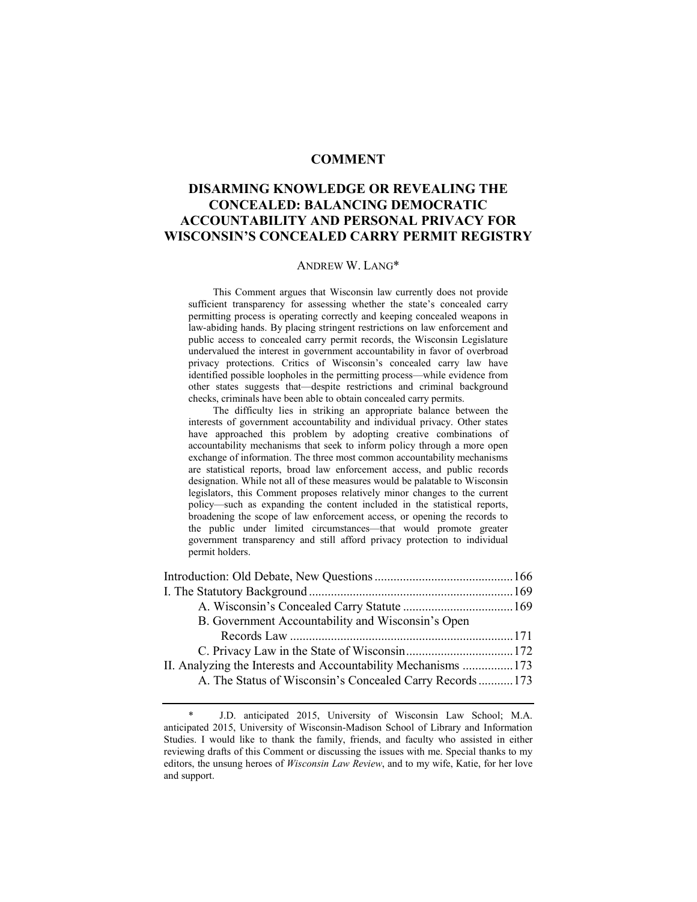# **COMMENT**

# **DISARMING KNOWLEDGE OR REVEALING THE CONCEALED: BALANCING DEMOCRATIC ACCOUNTABILITY AND PERSONAL PRIVACY FOR WISCONSIN'S CONCEALED CARRY PERMIT REGISTRY**

### ANDREW W. LANG\*

 This Comment argues that Wisconsin law currently does not provide sufficient transparency for assessing whether the state's concealed carry permitting process is operating correctly and keeping concealed weapons in law-abiding hands. By placing stringent restrictions on law enforcement and public access to concealed carry permit records, the Wisconsin Legislature undervalued the interest in government accountability in favor of overbroad privacy protections. Critics of Wisconsin's concealed carry law have identified possible loopholes in the permitting process—while evidence from other states suggests that—despite restrictions and criminal background checks, criminals have been able to obtain concealed carry permits.

 The difficulty lies in striking an appropriate balance between the interests of government accountability and individual privacy. Other states have approached this problem by adopting creative combinations of accountability mechanisms that seek to inform policy through a more open exchange of information. The three most common accountability mechanisms are statistical reports, broad law enforcement access, and public records designation. While not all of these measures would be palatable to Wisconsin legislators, this Comment proposes relatively minor changes to the current policy—such as expanding the content included in the statistical reports, broadening the scope of law enforcement access, or opening the records to the public under limited circumstances—that would promote greater government transparency and still afford privacy protection to individual permit holders.

| B. Government Accountability and Wisconsin's Open             |  |
|---------------------------------------------------------------|--|
|                                                               |  |
|                                                               |  |
| II. Analyzing the Interests and Accountability Mechanisms 173 |  |
| A. The Status of Wisconsin's Concealed Carry Records173       |  |

J.D. anticipated 2015, University of Wisconsin Law School; M.A. anticipated 2015, University of Wisconsin-Madison School of Library and Information Studies. I would like to thank the family, friends, and faculty who assisted in either reviewing drafts of this Comment or discussing the issues with me. Special thanks to my editors, the unsung heroes of *Wisconsin Law Review*, and to my wife, Katie, for her love and support.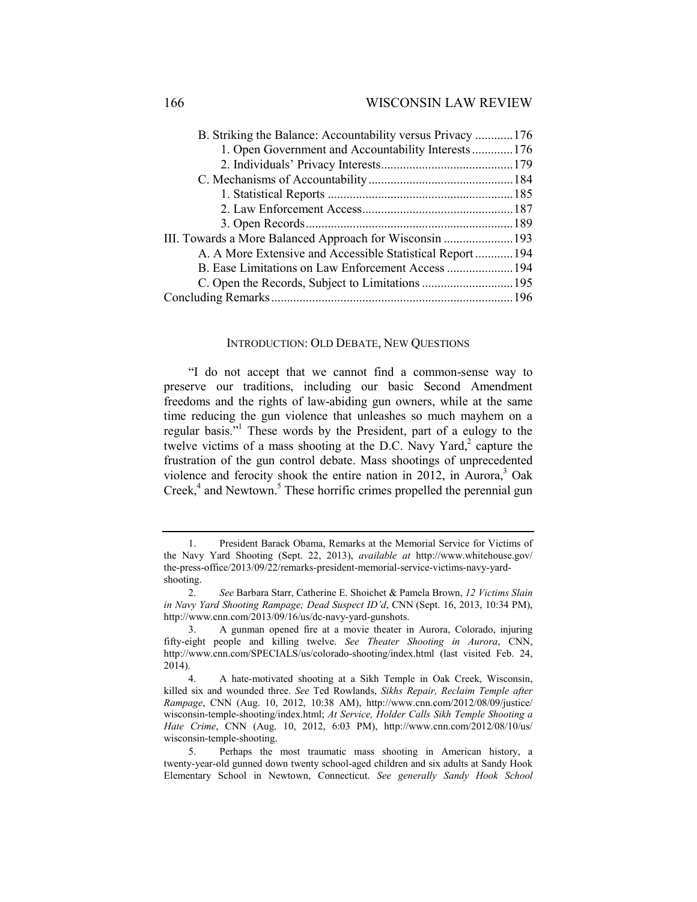| B. Striking the Balance: Accountability versus Privacy 176 |  |
|------------------------------------------------------------|--|
| 1. Open Government and Accountability Interests176         |  |
|                                                            |  |
|                                                            |  |
|                                                            |  |
|                                                            |  |
|                                                            |  |
|                                                            |  |
| A. A More Extensive and Accessible Statistical Report  194 |  |
|                                                            |  |
|                                                            |  |
|                                                            |  |
|                                                            |  |

### INTRODUCTION: OLD DEBATE, NEW QUESTIONS

"I do not accept that we cannot find a common-sense way to preserve our traditions, including our basic Second Amendment freedoms and the rights of law-abiding gun owners, while at the same time reducing the gun violence that unleashes so much mayhem on a regular basis."<sup>1</sup> These words by the President, part of a eulogy to the twelve victims of a mass shooting at the D.C. Navy Yard, $2$  capture the frustration of the gun control debate. Mass shootings of unprecedented violence and ferocity shook the entire nation in 2012, in Aurora, $3$  Oak Creek, $4$  and Newtown.<sup>5</sup> These horrific crimes propelled the perennial gun

 <sup>1.</sup> President Barack Obama, Remarks at the Memorial Service for Victims of the Navy Yard Shooting (Sept. 22, 2013), *available at* http://www.whitehouse.gov/ the-press-office/2013/09/22/remarks-president-memorial-service-victims-navy-yardshooting.

 <sup>2.</sup> *See* Barbara Starr, Catherine E. Shoichet & Pamela Brown, *12 Victims Slain in Navy Yard Shooting Rampage; Dead Suspect ID'd*, CNN (Sept. 16, 2013, 10:34 PM), http://www.cnn.com/2013/09/16/us/dc-navy-yard-gunshots.

 <sup>3.</sup> A gunman opened fire at a movie theater in Aurora, Colorado, injuring fifty-eight people and killing twelve. *See Theater Shooting in Aurora*, CNN, http://www.cnn.com/SPECIALS/us/colorado-shooting/index.html (last visited Feb. 24, 2014).

 <sup>4.</sup> A hate-motivated shooting at a Sikh Temple in Oak Creek, Wisconsin, killed six and wounded three. *See* Ted Rowlands, *Sikhs Repair, Reclaim Temple after Rampage*, CNN (Aug. 10, 2012, 10:38 AM), http://www.cnn.com/2012/08/09/justice/ wisconsin-temple-shooting/index.html; *At Service, Holder Calls Sikh Temple Shooting a Hate Crime*, CNN (Aug. 10, 2012, 6:03 PM), http://www.cnn.com/2012/08/10/us/ wisconsin-temple-shooting.

 <sup>5.</sup> Perhaps the most traumatic mass shooting in American history, a twenty-year-old gunned down twenty school-aged children and six adults at Sandy Hook Elementary School in Newtown, Connecticut. *See generally Sandy Hook School*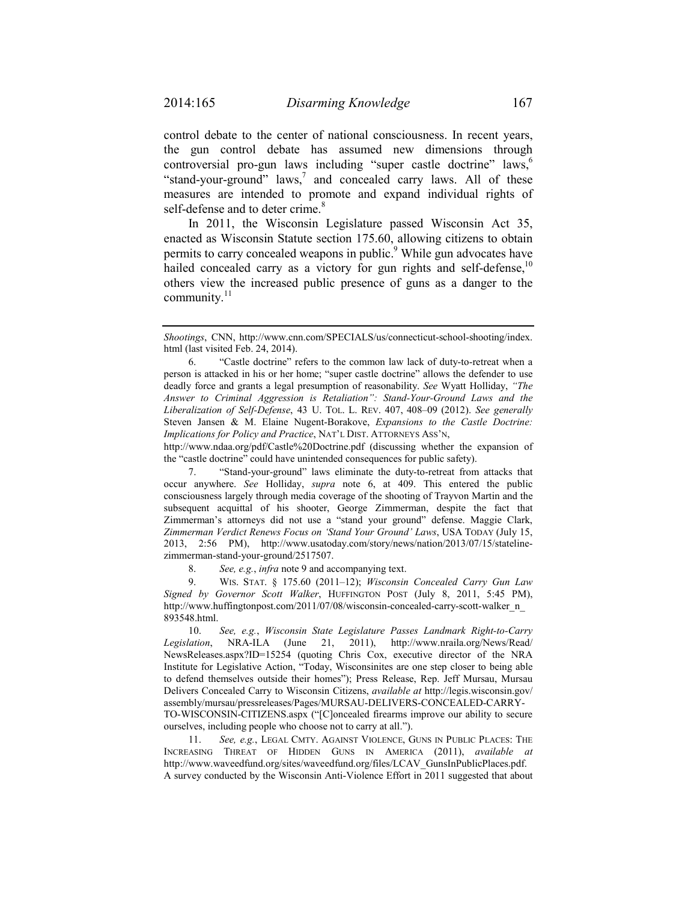control debate to the center of national consciousness. In recent years, the gun control debate has assumed new dimensions through controversial pro-gun laws including "super castle doctrine" laws,<sup>6</sup> "stand-your-ground" laws, $\frac{7}{1}$  and concealed carry laws. All of these measures are intended to promote and expand individual rights of self-defense and to deter crime.<sup>8</sup>

In 2011, the Wisconsin Legislature passed Wisconsin Act 35, enacted as Wisconsin Statute section 175.60, allowing citizens to obtain permits to carry concealed weapons in public.<sup>9</sup> While gun advocates have hailed concealed carry as a victory for gun rights and self-defense,  $10^{\circ}$ others view the increased public presence of guns as a danger to the community. $11$ 

http://www.ndaa.org/pdf/Castle%20Doctrine.pdf (discussing whether the expansion of the "castle doctrine" could have unintended consequences for public safety).

 7. "Stand-your-ground" laws eliminate the duty-to-retreat from attacks that occur anywhere. *See* Holliday, *supra* note 6, at 409. This entered the public consciousness largely through media coverage of the shooting of Trayvon Martin and the subsequent acquittal of his shooter, George Zimmerman, despite the fact that Zimmerman's attorneys did not use a "stand your ground" defense. Maggie Clark, *Zimmerman Verdict Renews Focus on 'Stand Your Ground' Laws*, USA TODAY (July 15, 2013, 2:56 PM), http://www.usatoday.com/story/news/nation/2013/07/15/statelinezimmerman-stand-your-ground/2517507.

8. *See, e.g.*, *infra* note 9 and accompanying text.

 9. WIS. STAT. § 175.60 (2011–12); *Wisconsin Concealed Carry Gun Law Signed by Governor Scott Walker*, HUFFINGTON POST (July 8, 2011, 5:45 PM), http://www.huffingtonpost.com/2011/07/08/wisconsin-concealed-carry-scott-walker\_n\_ 893548.html.

 10. *See, e.g.*, *Wisconsin State Legislature Passes Landmark Right-to-Carry Legislation*, NRA-ILA (June 21, 2011), http://www.nraila.org/News/Read/ NewsReleases.aspx?ID=15254 (quoting Chris Cox, executive director of the NRA Institute for Legislative Action, "Today, Wisconsinites are one step closer to being able to defend themselves outside their homes"); Press Release, Rep. Jeff Mursau, Mursau Delivers Concealed Carry to Wisconsin Citizens, *available at* http://legis.wisconsin.gov/ assembly/mursau/pressreleases/Pages/MURSAU-DELIVERS-CONCEALED-CARRY-TO-WISCONSIN-CITIZENS.aspx ("[C]oncealed firearms improve our ability to secure ourselves, including people who choose not to carry at all.").

 11. *See, e.g.*, LEGAL CMTY. AGAINST VIOLENCE, GUNS IN PUBLIC PLACES: THE INCREASING THREAT OF HIDDEN GUNS IN AMERICA (2011), *available at*  http://www.waveedfund.org/sites/waveedfund.org/files/LCAV\_GunsInPublicPlaces.pdf. A survey conducted by the Wisconsin Anti-Violence Effort in 2011 suggested that about

*Shootings*, CNN, http://www.cnn.com/SPECIALS/us/connecticut-school-shooting/index. html (last visited Feb. 24, 2014).

 <sup>6. &</sup>quot;Castle doctrine" refers to the common law lack of duty-to-retreat when a person is attacked in his or her home; "super castle doctrine" allows the defender to use deadly force and grants a legal presumption of reasonability. *See* Wyatt Holliday, *"The Answer to Criminal Aggression is Retaliation": Stand-Your-Ground Laws and the Liberalization of Self-Defense*, 43 U. TOL. L. REV. 407, 408–09 (2012). *See generally*  Steven Jansen & M. Elaine Nugent-Borakove, *Expansions to the Castle Doctrine: Implications for Policy and Practice*, NAT'L DIST. ATTORNEYS ASS'N,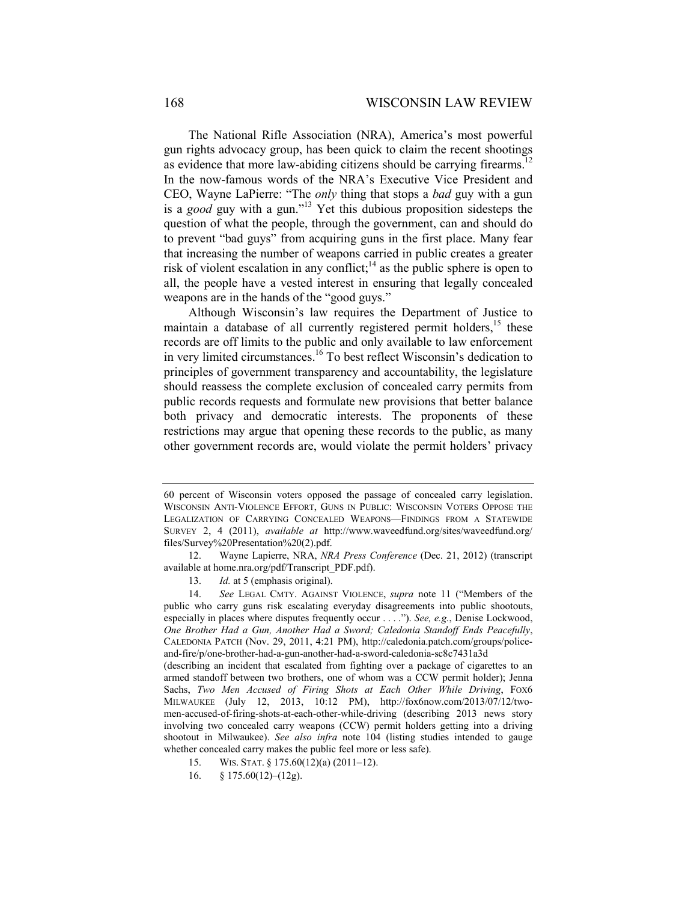The National Rifle Association (NRA), America's most powerful gun rights advocacy group, has been quick to claim the recent shootings as evidence that more law-abiding citizens should be carrying firearms.<sup>12</sup> In the now-famous words of the NRA's Executive Vice President and CEO, Wayne LaPierre: "The *only* thing that stops a *bad* guy with a gun is a *good* guy with a gun."13 Yet this dubious proposition sidesteps the question of what the people, through the government, can and should do to prevent "bad guys" from acquiring guns in the first place. Many fear that increasing the number of weapons carried in public creates a greater risk of violent escalation in any conflict;<sup>14</sup> as the public sphere is open to all, the people have a vested interest in ensuring that legally concealed weapons are in the hands of the "good guys."

Although Wisconsin's law requires the Department of Justice to maintain a database of all currently registered permit holders, $15$  these records are off limits to the public and only available to law enforcement in very limited circumstances.16 To best reflect Wisconsin's dedication to principles of government transparency and accountability, the legislature should reassess the complete exclusion of concealed carry permits from public records requests and formulate new provisions that better balance both privacy and democratic interests. The proponents of these restrictions may argue that opening these records to the public, as many other government records are, would violate the permit holders' privacy

<sup>60</sup> percent of Wisconsin voters opposed the passage of concealed carry legislation. WISCONSIN ANTI-VIOLENCE EFFORT, GUNS IN PUBLIC: WISCONSIN VOTERS OPPOSE THE LEGALIZATION OF CARRYING CONCEALED WEAPONS—FINDINGS FROM A STATEWIDE SURVEY 2, 4 (2011), *available at* http://www.waveedfund.org/sites/waveedfund.org/ files/Survey%20Presentation%20(2).pdf.

 <sup>12.</sup> Wayne Lapierre, NRA, *NRA Press Conference* (Dec. 21, 2012) (transcript available at home.nra.org/pdf/Transcript\_PDF.pdf).

 <sup>13.</sup> *Id.* at 5 (emphasis original).

 <sup>14.</sup> *See* LEGAL CMTY. AGAINST VIOLENCE, *supra* note 11 ("Members of the public who carry guns risk escalating everyday disagreements into public shootouts, especially in places where disputes frequently occur . . . ."). *See, e.g.*, Denise Lockwood, *One Brother Had a Gun, Another Had a Sword; Caledonia Standoff Ends Peacefully*, CALEDONIA PATCH (Nov. 29, 2011, 4:21 PM), http://caledonia.patch.com/groups/policeand-fire/p/one-brother-had-a-gun-another-had-a-sword-caledonia-sc8c7431a3d

<sup>(</sup>describing an incident that escalated from fighting over a package of cigarettes to an armed standoff between two brothers, one of whom was a CCW permit holder); Jenna Sachs, *Two Men Accused of Firing Shots at Each Other While Driving*, Fox6 MILWAUKEE (July 12, 2013, 10:12 PM), http://fox6now.com/2013/07/12/twomen-accused-of-firing-shots-at-each-other-while-driving (describing 2013 news story involving two concealed carry weapons (CCW) permit holders getting into a driving shootout in Milwaukee). *See also infra* note 104 (listing studies intended to gauge whether concealed carry makes the public feel more or less safe).

 <sup>15.</sup> WIS. STAT. § 175.60(12)(a) (2011–12).

 <sup>16. § 175.60(12)–(12</sup>g).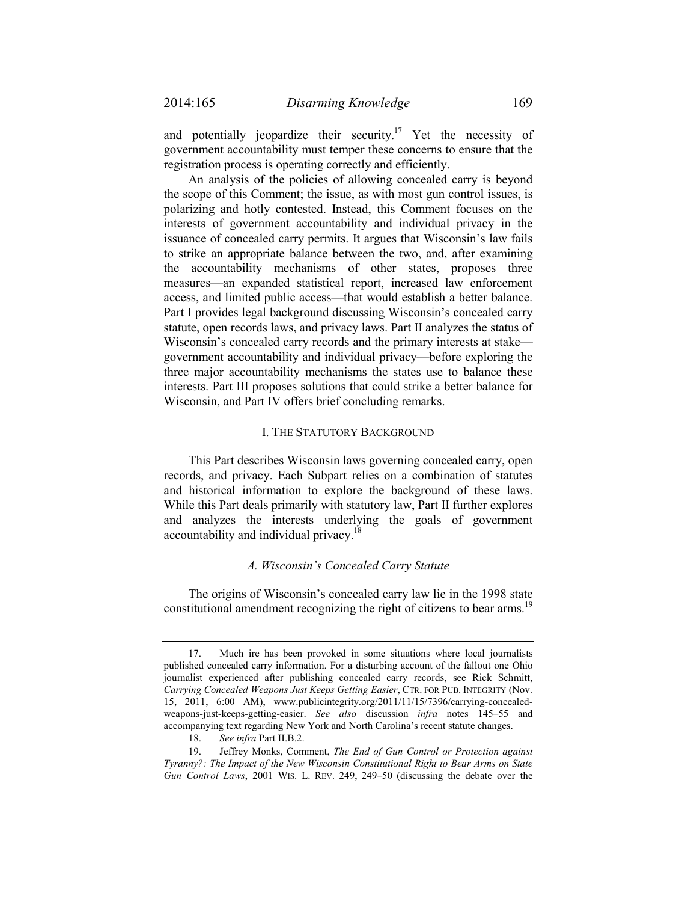and potentially jeopardize their security.<sup>17</sup> Yet the necessity of government accountability must temper these concerns to ensure that the registration process is operating correctly and efficiently.

An analysis of the policies of allowing concealed carry is beyond the scope of this Comment; the issue, as with most gun control issues, is polarizing and hotly contested. Instead, this Comment focuses on the interests of government accountability and individual privacy in the issuance of concealed carry permits. It argues that Wisconsin's law fails to strike an appropriate balance between the two, and, after examining the accountability mechanisms of other states, proposes three measures—an expanded statistical report, increased law enforcement access, and limited public access—that would establish a better balance. Part I provides legal background discussing Wisconsin's concealed carry statute, open records laws, and privacy laws. Part II analyzes the status of Wisconsin's concealed carry records and the primary interests at stake government accountability and individual privacy—before exploring the three major accountability mechanisms the states use to balance these interests. Part III proposes solutions that could strike a better balance for Wisconsin, and Part IV offers brief concluding remarks.

## I. THE STATUTORY BACKGROUND

This Part describes Wisconsin laws governing concealed carry, open records, and privacy. Each Subpart relies on a combination of statutes and historical information to explore the background of these laws. While this Part deals primarily with statutory law, Part II further explores and analyzes the interests underlying the goals of government accountability and individual privacy.<sup>18</sup>

## *A. Wisconsin's Concealed Carry Statute*

The origins of Wisconsin's concealed carry law lie in the 1998 state constitutional amendment recognizing the right of citizens to bear arms.<sup>19</sup>

 <sup>17.</sup> Much ire has been provoked in some situations where local journalists published concealed carry information. For a disturbing account of the fallout one Ohio journalist experienced after publishing concealed carry records, see Rick Schmitt, *Carrying Concealed Weapons Just Keeps Getting Easier*, CTR. FOR PUB. INTEGRITY (Nov. 15, 2011, 6:00 AM), www.publicintegrity.org/2011/11/15/7396/carrying-concealedweapons-just-keeps-getting-easier. *See also* discussion *infra* notes 145–55 and accompanying text regarding New York and North Carolina's recent statute changes.

 <sup>18.</sup> *See infra* Part II.B.2.

 <sup>19.</sup> Jeffrey Monks, Comment, *The End of Gun Control or Protection against Tyranny?: The Impact of the New Wisconsin Constitutional Right to Bear Arms on State Gun Control Laws*, 2001 WIS. L. REV. 249, 249–50 (discussing the debate over the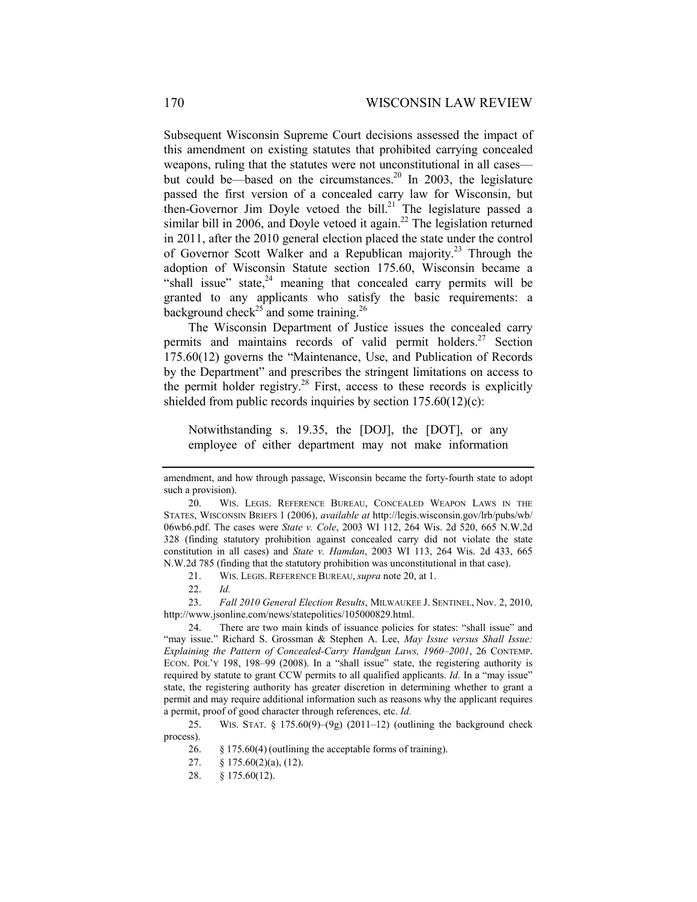Subsequent Wisconsin Supreme Court decisions assessed the impact of this amendment on existing statutes that prohibited carrying concealed weapons, ruling that the statutes were not unconstitutional in all cases but could be—based on the circumstances.<sup>20</sup> In 2003, the legislature passed the first version of a concealed carry law for Wisconsin, but then-Governor Jim Doyle vetoed the bill.<sup>21</sup> The legislature passed a similar bill in 2006, and Doyle vetoed it again.<sup>22</sup> The legislation returned in 2011, after the 2010 general election placed the state under the control of Governor Scott Walker and a Republican majority.<sup>23</sup> Through the adoption of Wisconsin Statute section 175.60, Wisconsin became a "shall issue" state, $24$  meaning that concealed carry permits will be granted to any applicants who satisfy the basic requirements: a background check<sup>25</sup> and some training.<sup>26</sup>

The Wisconsin Department of Justice issues the concealed carry permits and maintains records of valid permit holders.<sup>27</sup> Section 175.60(12) governs the "Maintenance, Use, and Publication of Records by the Department" and prescribes the stringent limitations on access to the permit holder registry.<sup>28</sup> First, access to these records is explicitly shielded from public records inquiries by section 175.60(12)(c):

Notwithstanding s. 19.35, the [DOJ], the [DOT], or any employee of either department may not make information

amendment, and how through passage, Wisconsin became the forty-fourth state to adopt such a provision).

 <sup>20.</sup> WIS. LEGIS. REFERENCE BUREAU, CONCEALED WEAPON LAWS IN THE STATES, WISCONSIN BRIEFS 1 (2006), *available at* http://legis.wisconsin.gov/lrb/pubs/wb/ 06wb6.pdf. The cases were *State v. Cole*, 2003 WI 112, 264 Wis. 2d 520, 665 N.W.2d 328 (finding statutory prohibition against concealed carry did not violate the state constitution in all cases) and *State v. Hamdan*, 2003 WI 113, 264 Wis. 2d 433, 665 N.W.2d 785 (finding that the statutory prohibition was unconstitutional in that case).

 <sup>21.</sup> WIS. LEGIS. REFERENCE BUREAU, *supra* note 20, at 1.

 <sup>22.</sup> *Id.*

 <sup>23.</sup> *Fall 2010 General Election Results*, MILWAUKEE J. SENTINEL, Nov. 2, 2010, http://www.jsonline.com/news/statepolitics/105000829.html.

 <sup>24.</sup> There are two main kinds of issuance policies for states: "shall issue" and "may issue." Richard S. Grossman & Stephen A. Lee, *May Issue versus Shall Issue: Explaining the Pattern of Concealed-Carry Handgun Laws, 1960–2001*, 26 CONTEMP. ECON. POL'Y 198, 198–99 (2008). In a "shall issue" state, the registering authority is required by statute to grant CCW permits to all qualified applicants. *Id.* In a "may issue" state, the registering authority has greater discretion in determining whether to grant a permit and may require additional information such as reasons why the applicant requires a permit, proof of good character through references, etc. *Id.*

<sup>25.</sup> WIS. STAT.  $\S 175.60(9)$ – $(9g)$  (2011–12) (outlining the background check process).

 <sup>26. §</sup> 175.60(4) (outlining the acceptable forms of training).

 <sup>27. § 175.60(2)(</sup>a), (12).

 <sup>28. § 175.60(12).</sup>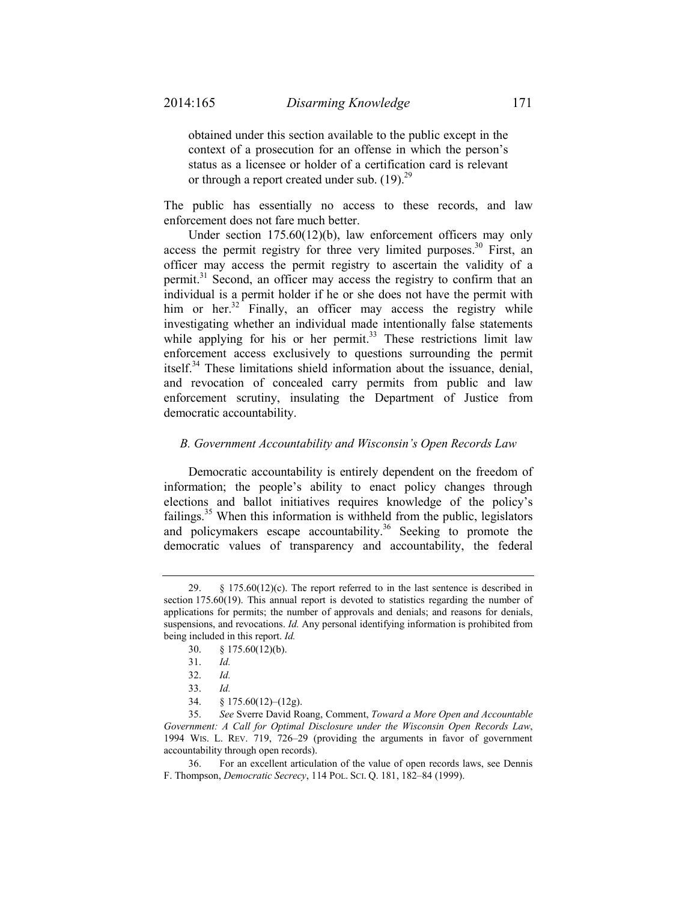obtained under this section available to the public except in the context of a prosecution for an offense in which the person's status as a licensee or holder of a certification card is relevant or through a report created under sub.  $(19)^{29}$ 

The public has essentially no access to these records, and law enforcement does not fare much better.

Under section 175.60(12)(b), law enforcement officers may only access the permit registry for three very limited purposes.<sup>30</sup> First, an officer may access the permit registry to ascertain the validity of a permit.31 Second, an officer may access the registry to confirm that an individual is a permit holder if he or she does not have the permit with him or her.<sup>32</sup> Finally, an officer may access the registry while investigating whether an individual made intentionally false statements while applying for his or her permit.<sup>33</sup> These restrictions limit law enforcement access exclusively to questions surrounding the permit itself.34 These limitations shield information about the issuance, denial, and revocation of concealed carry permits from public and law enforcement scrutiny, insulating the Department of Justice from democratic accountability.

# *B. Government Accountability and Wisconsin's Open Records Law*

Democratic accountability is entirely dependent on the freedom of information; the people's ability to enact policy changes through elections and ballot initiatives requires knowledge of the policy's failings.<sup>35</sup> When this information is withheld from the public, legislators and policymakers escape accountability.<sup>36</sup> Seeking to promote the democratic values of transparency and accountability, the federal

 <sup>29. § 175.60(12)(</sup>c). The report referred to in the last sentence is described in section 175.60(19). This annual report is devoted to statistics regarding the number of applications for permits; the number of approvals and denials; and reasons for denials, suspensions, and revocations. *Id.* Any personal identifying information is prohibited from being included in this report. *Id.* 

 <sup>30. § 175.60(12)(</sup>b).

 <sup>31.</sup> *Id.*

 <sup>32.</sup> *Id.* 

 <sup>33.</sup> *Id.* 

 <sup>34. § 175.60(12)–(12</sup>g).

 <sup>35.</sup> *See* Sverre David Roang, Comment, *Toward a More Open and Accountable Government: A Call for Optimal Disclosure under the Wisconsin Open Records Law*, 1994 WIS. L. REV. 719, 726–29 (providing the arguments in favor of government accountability through open records).

 <sup>36.</sup> For an excellent articulation of the value of open records laws, see Dennis F. Thompson, *Democratic Secrecy*, 114 POL. SCI. Q. 181, 182–84 (1999).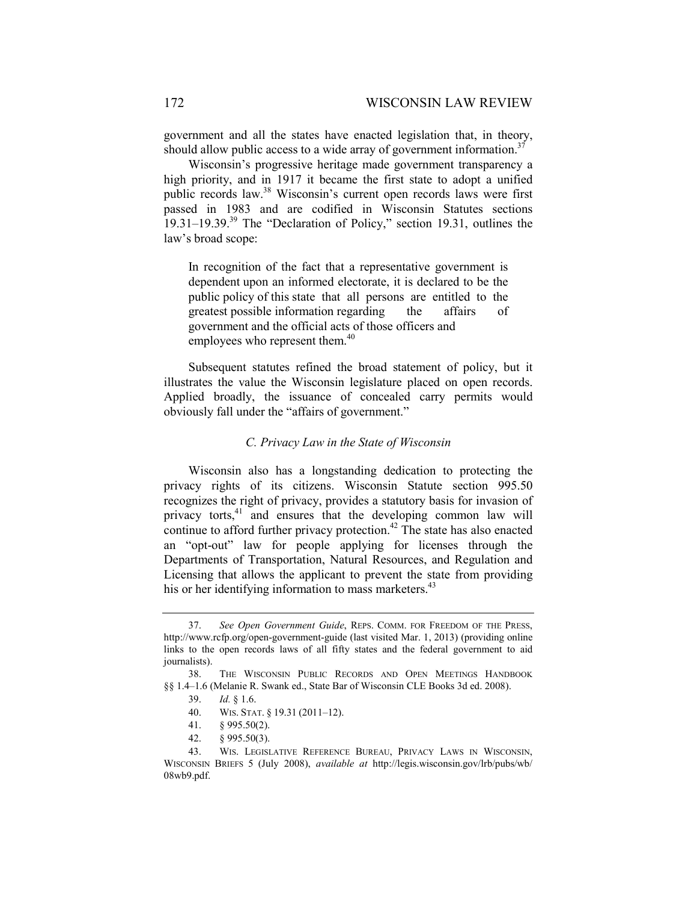government and all the states have enacted legislation that, in theory, should allow public access to a wide array of government information.<sup>37</sup>

Wisconsin's progressive heritage made government transparency a high priority, and in 1917 it became the first state to adopt a unified public records law.<sup>38</sup> Wisconsin's current open records laws were first passed in 1983 and are codified in Wisconsin Statutes sections  $19.31-19.39$ <sup>39</sup> The "Declaration of Policy," section 19.31, outlines the law's broad scope:

In recognition of the fact that a representative government is dependent upon an informed electorate, it is declared to be the public policy of this state that all persons are entitled to the greatest possible information regarding the affairs of government and the official acts of those officers and employees who represent them.<sup>40</sup>

Subsequent statutes refined the broad statement of policy, but it illustrates the value the Wisconsin legislature placed on open records. Applied broadly, the issuance of concealed carry permits would obviously fall under the "affairs of government."

# *C. Privacy Law in the State of Wisconsin*

Wisconsin also has a longstanding dedication to protecting the privacy rights of its citizens. Wisconsin Statute section 995.50 recognizes the right of privacy, provides a statutory basis for invasion of privacy torts,<sup>41</sup> and ensures that the developing common law will continue to afford further privacy protection.<sup>42</sup> The state has also enacted an "opt-out" law for people applying for licenses through the Departments of Transportation, Natural Resources, and Regulation and Licensing that allows the applicant to prevent the state from providing his or her identifying information to mass marketers.<sup>43</sup>

 <sup>37.</sup> *See Open Government Guide*, REPS. COMM. FOR FREEDOM OF THE PRESS, http://www.rcfp.org/open-government-guide (last visited Mar. 1, 2013) (providing online links to the open records laws of all fifty states and the federal government to aid journalists).

 <sup>38.</sup> THE WISCONSIN PUBLIC RECORDS AND OPEN MEETINGS HANDBOOK §§ 1.4–1.6 (Melanie R. Swank ed., State Bar of Wisconsin CLE Books 3d ed. 2008).

 <sup>39.</sup> *Id.* § 1.6.

 <sup>40.</sup> WIS. STAT. § 19.31 (2011–12).

 <sup>41. § 995.50(2).</sup> 

 <sup>42. § 995.50(3).</sup> 

 <sup>43.</sup> WIS. LEGISLATIVE REFERENCE BUREAU, PRIVACY LAWS IN WISCONSIN, WISCONSIN BRIEFS 5 (July 2008), *available at* http://legis.wisconsin.gov/lrb/pubs/wb/ 08wb9.pdf.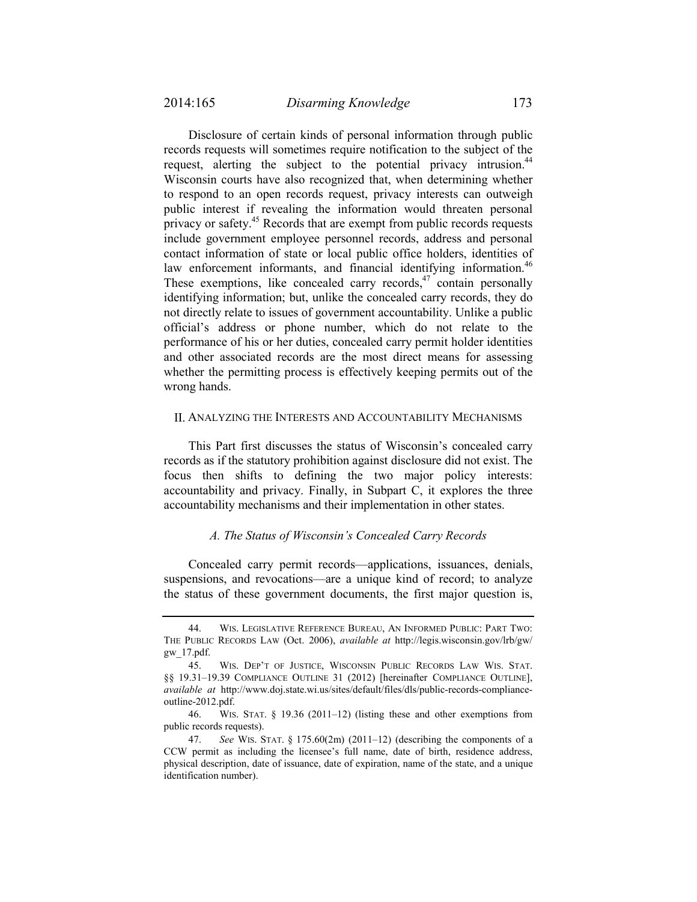Disclosure of certain kinds of personal information through public records requests will sometimes require notification to the subject of the request, alerting the subject to the potential privacy intrusion.<sup>44</sup> Wisconsin courts have also recognized that, when determining whether to respond to an open records request, privacy interests can outweigh public interest if revealing the information would threaten personal privacy or safety.<sup>45</sup> Records that are exempt from public records requests include government employee personnel records, address and personal contact information of state or local public office holders, identities of law enforcement informants, and financial identifying information.<sup>46</sup> These exemptions, like concealed carry records, $47$  contain personally identifying information; but, unlike the concealed carry records, they do not directly relate to issues of government accountability. Unlike a public official's address or phone number, which do not relate to the performance of his or her duties, concealed carry permit holder identities and other associated records are the most direct means for assessing whether the permitting process is effectively keeping permits out of the wrong hands.

# II. ANALYZING THE INTERESTS AND ACCOUNTABILITY MECHANISMS

This Part first discusses the status of Wisconsin's concealed carry records as if the statutory prohibition against disclosure did not exist. The focus then shifts to defining the two major policy interests: accountability and privacy. Finally, in Subpart C, it explores the three accountability mechanisms and their implementation in other states.

# *A. The Status of Wisconsin's Concealed Carry Records*

Concealed carry permit records—applications, issuances, denials, suspensions, and revocations—are a unique kind of record; to analyze the status of these government documents, the first major question is,

 <sup>44.</sup> WIS. LEGISLATIVE REFERENCE BUREAU, AN INFORMED PUBLIC: PART TWO: THE PUBLIC RECORDS LAW (Oct. 2006), *available at* http://legis.wisconsin.gov/lrb/gw/ gw\_17.pdf.

 <sup>45.</sup> WIS. DEP'T OF JUSTICE, WISCONSIN PUBLIC RECORDS LAW WIS. STAT. §§ 19.31–19.39 COMPLIANCE OUTLINE 31 (2012) [hereinafter COMPLIANCE OUTLINE], *available at* http://www.doj.state.wi.us/sites/default/files/dls/public-records-complianceoutline-2012.pdf.

 <sup>46.</sup> WIS. STAT. § 19.36 (2011–12) (listing these and other exemptions from public records requests).

 <sup>47.</sup> *See* WIS. STAT. § 175.60(2m) (2011–12) (describing the components of a CCW permit as including the licensee's full name, date of birth, residence address, physical description, date of issuance, date of expiration, name of the state, and a unique identification number).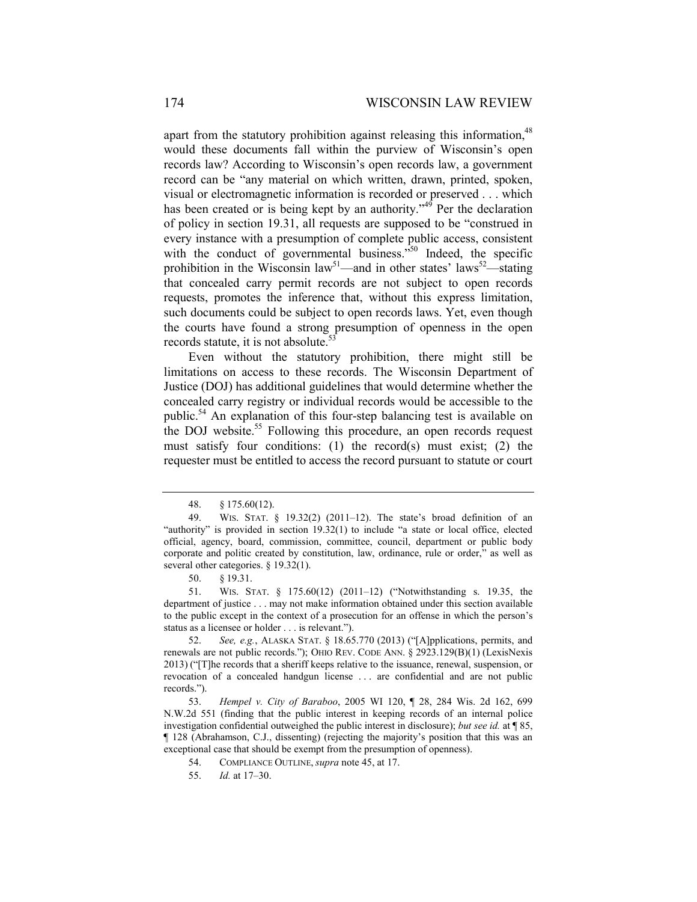apart from the statutory prohibition against releasing this information,<sup>48</sup> would these documents fall within the purview of Wisconsin's open records law? According to Wisconsin's open records law, a government record can be "any material on which written, drawn, printed, spoken, visual or electromagnetic information is recorded or preserved . . . which has been created or is being kept by an authority."<sup>49</sup> Per the declaration of policy in section 19.31, all requests are supposed to be "construed in every instance with a presumption of complete public access, consistent with the conduct of governmental business.<sup>350</sup> Indeed, the specific prohibition in the Wisconsin law<sup>51</sup>—and in other states' laws<sup>52</sup>—stating that concealed carry permit records are not subject to open records requests, promotes the inference that, without this express limitation, such documents could be subject to open records laws. Yet, even though the courts have found a strong presumption of openness in the open records statute, it is not absolute.<sup>53</sup>

Even without the statutory prohibition, there might still be limitations on access to these records. The Wisconsin Department of Justice (DOJ) has additional guidelines that would determine whether the concealed carry registry or individual records would be accessible to the public.<sup>54</sup> An explanation of this four-step balancing test is available on the DOJ website.<sup>55</sup> Following this procedure, an open records request must satisfy four conditions: (1) the record(s) must exist; (2) the requester must be entitled to access the record pursuant to statute or court

50. § 19.31.

 <sup>48. §</sup> 175.60(12).

 <sup>49.</sup> WIS. STAT. § 19.32(2) (2011–12). The state's broad definition of an "authority" is provided in section 19.32(1) to include "a state or local office, elected official, agency, board, commission, committee, council, department or public body corporate and politic created by constitution, law, ordinance, rule or order," as well as several other categories. § 19.32(1).

 <sup>51.</sup> WIS. STAT. § 175.60(12) (2011–12) ("Notwithstanding s. 19.35, the department of justice . . . may not make information obtained under this section available to the public except in the context of a prosecution for an offense in which the person's status as a licensee or holder . . . is relevant.").

 <sup>52.</sup> *See, e.g.*, ALASKA STAT. § 18.65.770 (2013) ("[A]pplications, permits, and renewals are not public records."); OHIO REV. CODE ANN. § 2923.129(B)(1) (LexisNexis 2013) ("[T]he records that a sheriff keeps relative to the issuance, renewal, suspension, or revocation of a concealed handgun license . . . are confidential and are not public records.").

 <sup>53.</sup> *Hempel v. City of Baraboo*, 2005 WI 120, ¶ 28, 284 Wis. 2d 162, 699 N.W.2d 551 (finding that the public interest in keeping records of an internal police investigation confidential outweighed the public interest in disclosure); *but see id.* at ¶ 85, ¶ 128 (Abrahamson, C.J., dissenting) (rejecting the majority's position that this was an exceptional case that should be exempt from the presumption of openness).

 <sup>54.</sup> COMPLIANCE OUTLINE, *supra* note 45, at 17.

 <sup>55.</sup> *Id.* at 17–30.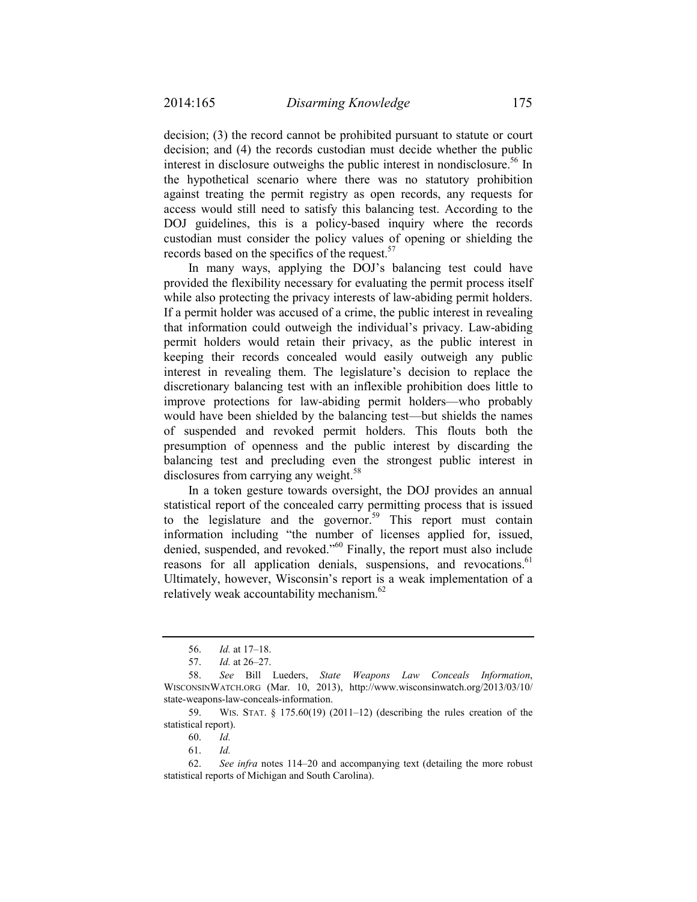decision; (3) the record cannot be prohibited pursuant to statute or court decision; and (4) the records custodian must decide whether the public interest in disclosure outweighs the public interest in nondisclosure.<sup>56</sup> In the hypothetical scenario where there was no statutory prohibition against treating the permit registry as open records, any requests for access would still need to satisfy this balancing test. According to the DOJ guidelines, this is a policy-based inquiry where the records custodian must consider the policy values of opening or shielding the records based on the specifics of the request.<sup>57</sup>

In many ways, applying the DOJ's balancing test could have provided the flexibility necessary for evaluating the permit process itself while also protecting the privacy interests of law-abiding permit holders. If a permit holder was accused of a crime, the public interest in revealing that information could outweigh the individual's privacy. Law-abiding permit holders would retain their privacy, as the public interest in keeping their records concealed would easily outweigh any public interest in revealing them. The legislature's decision to replace the discretionary balancing test with an inflexible prohibition does little to improve protections for law-abiding permit holders—who probably would have been shielded by the balancing test—but shields the names of suspended and revoked permit holders. This flouts both the presumption of openness and the public interest by discarding the balancing test and precluding even the strongest public interest in disclosures from carrying any weight.<sup>58</sup>

In a token gesture towards oversight, the DOJ provides an annual statistical report of the concealed carry permitting process that is issued to the legislature and the governor.<sup>59</sup> This report must contain information including "the number of licenses applied for, issued, denied, suspended, and revoked."60 Finally, the report must also include reasons for all application denials, suspensions, and revocations.<sup>61</sup> Ultimately, however, Wisconsin's report is a weak implementation of a relatively weak accountability mechanism.<sup>62</sup>

<sup>56.</sup> *Id.* at 17–18.

 <sup>57.</sup> *Id.* at 26–27.

 <sup>58.</sup> *See* Bill Lueders, *State Weapons Law Conceals Information*, WISCONSINWATCH.ORG (Mar. 10, 2013), http://www.wisconsinwatch.org/2013/03/10/ state-weapons-law-conceals-information.

 <sup>59.</sup> WIS. STAT. § 175.60(19) (2011–12) (describing the rules creation of the statistical report).

 <sup>60.</sup> *Id.* 

 <sup>61.</sup> *Id.* 

 <sup>62.</sup> *See infra* notes 114–20 and accompanying text (detailing the more robust statistical reports of Michigan and South Carolina).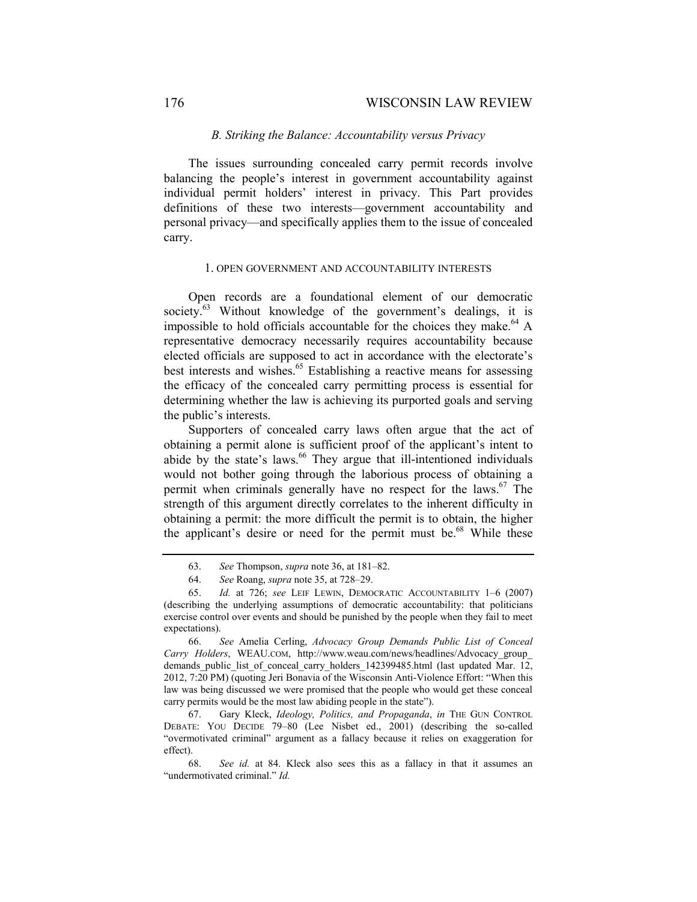#### *B. Striking the Balance: Accountability versus Privacy*

The issues surrounding concealed carry permit records involve balancing the people's interest in government accountability against individual permit holders' interest in privacy. This Part provides definitions of these two interests—government accountability and personal privacy—and specifically applies them to the issue of concealed carry.

## 1. OPEN GOVERNMENT AND ACCOUNTABILITY INTERESTS

Open records are a foundational element of our democratic society. $63$  Without knowledge of the government's dealings, it is impossible to hold officials accountable for the choices they make.<sup>64</sup> A representative democracy necessarily requires accountability because elected officials are supposed to act in accordance with the electorate's best interests and wishes.<sup>65</sup> Establishing a reactive means for assessing the efficacy of the concealed carry permitting process is essential for determining whether the law is achieving its purported goals and serving the public's interests.

Supporters of concealed carry laws often argue that the act of obtaining a permit alone is sufficient proof of the applicant's intent to abide by the state's laws.<sup>66</sup> They argue that ill-intentioned individuals would not bother going through the laborious process of obtaining a permit when criminals generally have no respect for the laws.<sup>67</sup> The strength of this argument directly correlates to the inherent difficulty in obtaining a permit: the more difficult the permit is to obtain, the higher the applicant's desire or need for the permit must be.<sup>68</sup> While these

 67. Gary Kleck, *Ideology, Politics, and Propaganda*, *in* THE GUN CONTROL DEBATE: YOU DECIDE 79–80 (Lee Nisbet ed., 2001) (describing the so-called "overmotivated criminal" argument as a fallacy because it relies on exaggeration for effect).

 <sup>63.</sup> *See* Thompson, *supra* note 36, at 181–82.

 <sup>64.</sup> *See* Roang, *supra* note 35, at 728–29.

<sup>65.</sup> *Id.* at 726; *see* LEIF LEWIN, DEMOCRATIC ACCOUNTABILITY 1–6 (2007) (describing the underlying assumptions of democratic accountability: that politicians exercise control over events and should be punished by the people when they fail to meet expectations).

<sup>66.</sup> *See* Amelia Cerling, *Advocacy Group Demands Public List of Conceal Carry Holders*, WEAU.COM, http://www.weau.com/news/headlines/Advocacy\_group\_ demands\_public\_list\_of\_conceal\_carry\_holders\_142399485.html (last updated Mar. 12, 2012, 7:20 PM) (quoting Jeri Bonavia of the Wisconsin Anti-Violence Effort: "When this law was being discussed we were promised that the people who would get these conceal carry permits would be the most law abiding people in the state").

 <sup>68.</sup> *See id.* at 84. Kleck also sees this as a fallacy in that it assumes an "undermotivated criminal." *Id.*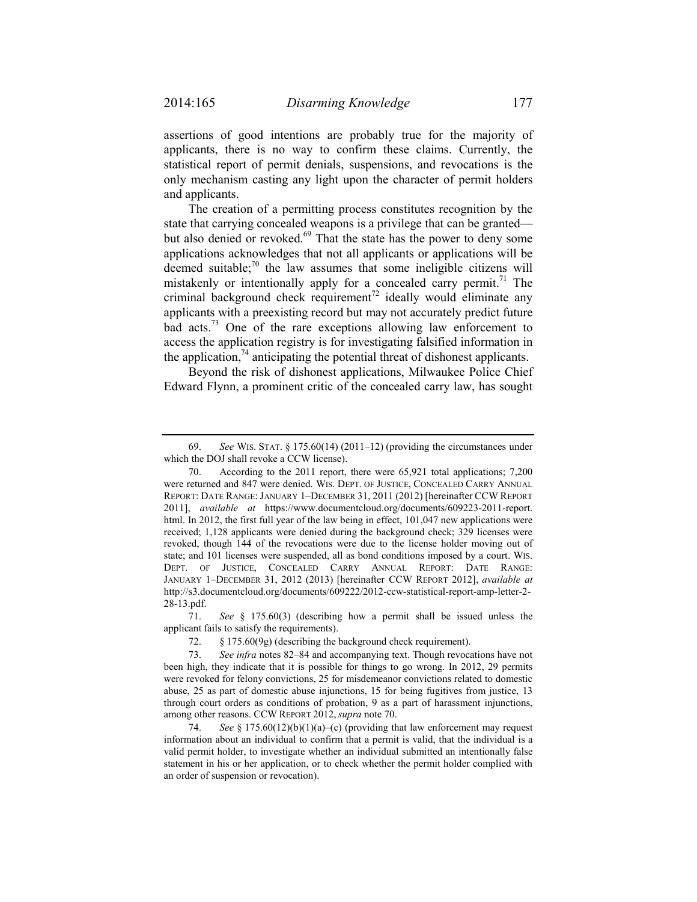assertions of good intentions are probably true for the majority of applicants, there is no way to confirm these claims. Currently, the statistical report of permit denials, suspensions, and revocations is the only mechanism casting any light upon the character of permit holders and applicants.

The creation of a permitting process constitutes recognition by the state that carrying concealed weapons is a privilege that can be granted but also denied or revoked.<sup>69</sup> That the state has the power to deny some applications acknowledges that not all applicants or applications will be deemed suitable; $\frac{70}{10}$  the law assumes that some ineligible citizens will mistakenly or intentionally apply for a concealed carry permit.<sup>71</sup> The criminal background check requirement<sup>72</sup> ideally would eliminate any applicants with a preexisting record but may not accurately predict future bad acts.<sup>73</sup> One of the rare exceptions allowing law enforcement to access the application registry is for investigating falsified information in the application,  $^{74}$  anticipating the potential threat of dishonest applicants.

Beyond the risk of dishonest applications, Milwaukee Police Chief Edward Flynn, a prominent critic of the concealed carry law, has sought

 <sup>69.</sup> *See* WIS. STAT. § 175.60(14) (2011–12) (providing the circumstances under which the DOJ shall revoke a CCW license).

 <sup>70.</sup> According to the 2011 report, there were 65,921 total applications; 7,200 were returned and 847 were denied. WIS. DEPT. OF JUSTICE, CONCEALED CARRY ANNUAL REPORT: DATE RANGE: JANUARY 1–DECEMBER 31, 2011 (2012) [hereinafter CCW REPORT 2011], *available at* https://www.documentcloud.org/documents/609223-2011-report. html. In 2012, the first full year of the law being in effect, 101,047 new applications were received; 1,128 applicants were denied during the background check; 329 licenses were revoked, though 144 of the revocations were due to the license holder moving out of state; and 101 licenses were suspended, all as bond conditions imposed by a court. WIS. DEPT. OF JUSTICE, CONCEALED CARRY ANNUAL REPORT: DATE RANGE: JANUARY 1–DECEMBER 31, 2012 (2013) [hereinafter CCW REPORT 2012], *available at*  http://s3.documentcloud.org/documents/609222/2012-ccw-statistical-report-amp-letter-2- 28-13.pdf.

 <sup>71.</sup> *See* § 175.60(3) (describing how a permit shall be issued unless the applicant fails to satisfy the requirements).

 <sup>72. §</sup> 175.60(9g) (describing the background check requirement).

 <sup>73.</sup> *See infra* notes 82–84 and accompanying text. Though revocations have not been high, they indicate that it is possible for things to go wrong. In 2012, 29 permits were revoked for felony convictions, 25 for misdemeanor convictions related to domestic abuse, 25 as part of domestic abuse injunctions, 15 for being fugitives from justice, 13 through court orders as conditions of probation, 9 as a part of harassment injunctions, among other reasons. CCW REPORT 2012,*supra* note 70.

 <sup>74.</sup> *See* § 175.60(12)(b)(1)(a)–(c) (providing that law enforcement may request information about an individual to confirm that a permit is valid, that the individual is a valid permit holder, to investigate whether an individual submitted an intentionally false statement in his or her application, or to check whether the permit holder complied with an order of suspension or revocation).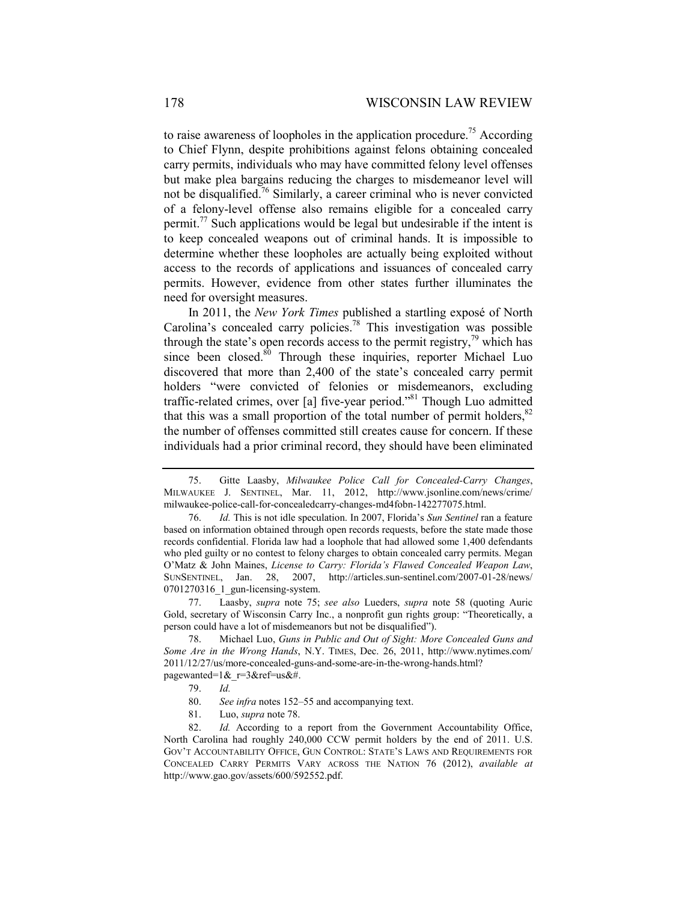to raise awareness of loopholes in the application procedure.<sup>75</sup> According to Chief Flynn, despite prohibitions against felons obtaining concealed carry permits, individuals who may have committed felony level offenses but make plea bargains reducing the charges to misdemeanor level will not be disqualified.<sup>76</sup> Similarly, a career criminal who is never convicted of a felony-level offense also remains eligible for a concealed carry permit.<sup>77</sup> Such applications would be legal but undesirable if the intent is to keep concealed weapons out of criminal hands. It is impossible to determine whether these loopholes are actually being exploited without access to the records of applications and issuances of concealed carry permits. However, evidence from other states further illuminates the need for oversight measures.

In 2011, the *New York Times* published a startling exposé of North Carolina's concealed carry policies.<sup>78</sup> This investigation was possible through the state's open records access to the permit registry, $\frac{79}{7}$  which has since been closed.<sup>80</sup> Through these inquiries, reporter Michael Luo discovered that more than 2,400 of the state's concealed carry permit holders "were convicted of felonies or misdemeanors, excluding traffic-related crimes, over [a] five-year period."81 Though Luo admitted that this was a small proportion of the total number of permit holders,  $82$ the number of offenses committed still creates cause for concern. If these individuals had a prior criminal record, they should have been eliminated

- 80. *See infra* notes 152–55 and accompanying text.
- 81. Luo, *supra* note 78.

 <sup>75.</sup> Gitte Laasby, *Milwaukee Police Call for Concealed-Carry Changes*, MILWAUKEE J. SENTINEL, Mar. 11, 2012, http://www.jsonline.com/news/crime/ milwaukee-police-call-for-concealedcarry-changes-md4fobn-142277075.html.

<sup>76.</sup> *Id.* This is not idle speculation. In 2007, Florida's *Sun Sentinel* ran a feature based on information obtained through open records requests, before the state made those records confidential. Florida law had a loophole that had allowed some 1,400 defendants who pled guilty or no contest to felony charges to obtain concealed carry permits. Megan O'Matz & John Maines, *License to Carry: Florida's Flawed Concealed Weapon Law*, SUNSENTINEL, Jan. 28, 2007, http://articles.sun-sentinel.com/2007-01-28/news/ 0701270316 1 gun-licensing-system.

<sup>77.</sup> Laasby, *supra* note 75; *see also* Lueders, *supra* note 58 (quoting Auric Gold, secretary of Wisconsin Carry Inc., a nonprofit gun rights group: "Theoretically, a person could have a lot of misdemeanors but not be disqualified").

 <sup>78.</sup> Michael Luo, *Guns in Public and Out of Sight: More Concealed Guns and Some Are in the Wrong Hands*, N.Y. TIMES, Dec. 26, 2011, http://www.nytimes.com/ 2011/12/27/us/more-concealed-guns-and-some-are-in-the-wrong-hands.html? pagewanted=1&\_r=3&ref=us&#.

 <sup>79.</sup> *Id.*

 <sup>82.</sup> *Id.* According to a report from the Government Accountability Office, North Carolina had roughly 240,000 CCW permit holders by the end of 2011. U.S. GOV'T ACCOUNTABILITY OFFICE, GUN CONTROL: STATE'S LAWS AND REQUIREMENTS FOR CONCEALED CARRY PERMITS VARY ACROSS THE NATION 76 (2012), *available at*  http://www.gao.gov/assets/600/592552.pdf.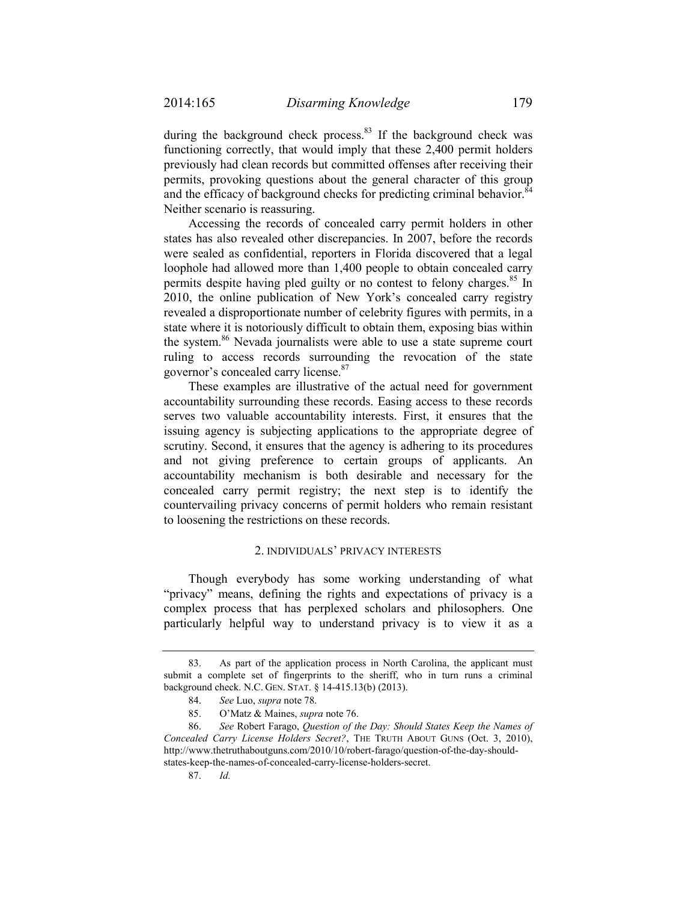during the background check process. $83$  If the background check was functioning correctly, that would imply that these 2,400 permit holders previously had clean records but committed offenses after receiving their permits, provoking questions about the general character of this group and the efficacy of background checks for predicting criminal behavior.<sup>8</sup> Neither scenario is reassuring.

Accessing the records of concealed carry permit holders in other states has also revealed other discrepancies. In 2007, before the records were sealed as confidential, reporters in Florida discovered that a legal loophole had allowed more than 1,400 people to obtain concealed carry permits despite having pled guilty or no contest to felony charges.<sup>85</sup> In 2010, the online publication of New York's concealed carry registry revealed a disproportionate number of celebrity figures with permits, in a state where it is notoriously difficult to obtain them, exposing bias within the system.<sup>86</sup> Nevada journalists were able to use a state supreme court ruling to access records surrounding the revocation of the state governor's concealed carry license.87

These examples are illustrative of the actual need for government accountability surrounding these records. Easing access to these records serves two valuable accountability interests. First, it ensures that the issuing agency is subjecting applications to the appropriate degree of scrutiny. Second, it ensures that the agency is adhering to its procedures and not giving preference to certain groups of applicants. An accountability mechanism is both desirable and necessary for the concealed carry permit registry; the next step is to identify the countervailing privacy concerns of permit holders who remain resistant to loosening the restrictions on these records.

## 2. INDIVIDUALS' PRIVACY INTERESTS

Though everybody has some working understanding of what "privacy" means, defining the rights and expectations of privacy is a complex process that has perplexed scholars and philosophers. One particularly helpful way to understand privacy is to view it as a

 <sup>83.</sup> As part of the application process in North Carolina, the applicant must submit a complete set of fingerprints to the sheriff, who in turn runs a criminal background check. N.C. GEN. STAT. § 14-415.13(b) (2013).

 <sup>84.</sup> *See* Luo, *supra* note 78.

 <sup>85.</sup> O'Matz & Maines, *supra* note 76.

 <sup>86.</sup> *See* Robert Farago, *Question of the Day: Should States Keep the Names of Concealed Carry License Holders Secret?*, THE TRUTH ABOUT GUNS (Oct. 3, 2010), http://www.thetruthaboutguns.com/2010/10/robert-farago/question-of-the-day-shouldstates-keep-the-names-of-concealed-carry-license-holders-secret.

 <sup>87.</sup> *Id.*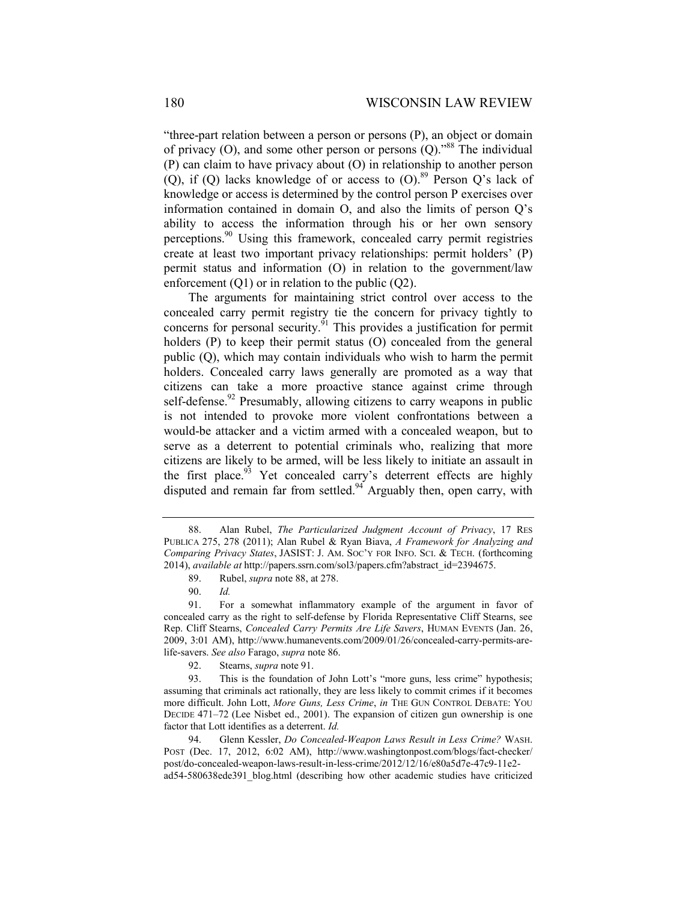"three-part relation between a person or persons (P), an object or domain of privacy  $(O)$ , and some other person or persons  $(Q)$ ."<sup>88</sup> The individual (P) can claim to have privacy about (O) in relationship to another person (Q), if (Q) lacks knowledge of or access to  $(O)$ .<sup>89</sup> Person Q's lack of knowledge or access is determined by the control person P exercises over information contained in domain O, and also the limits of person Q's ability to access the information through his or her own sensory perceptions.<sup>90</sup> Using this framework, concealed carry permit registries create at least two important privacy relationships: permit holders' (P) permit status and information (O) in relation to the government/law enforcement  $(Q1)$  or in relation to the public  $(Q2)$ .

The arguments for maintaining strict control over access to the concealed carry permit registry tie the concern for privacy tightly to concerns for personal security.<sup>91</sup> This provides a justification for permit holders (P) to keep their permit status (O) concealed from the general public (Q), which may contain individuals who wish to harm the permit holders. Concealed carry laws generally are promoted as a way that citizens can take a more proactive stance against crime through self-defense.<sup>92</sup> Presumably, allowing citizens to carry weapons in public is not intended to provoke more violent confrontations between a would-be attacker and a victim armed with a concealed weapon, but to serve as a deterrent to potential criminals who, realizing that more citizens are likely to be armed, will be less likely to initiate an assault in the first place.<sup>93</sup> Yet concealed carry's deterrent effects are highly disputed and remain far from settled.<sup>94</sup> Arguably then, open carry, with

 <sup>88.</sup> Alan Rubel, *The Particularized Judgment Account of Privacy*, 17 RES PUBLICA 275, 278 (2011); Alan Rubel & Ryan Biava, *A Framework for Analyzing and Comparing Privacy States*, JASIST: J. AM. SOC'Y FOR INFO. SCI. & TECH. (forthcoming 2014), *available at* http://papers.ssrn.com/sol3/papers.cfm?abstract\_id=2394675.

 <sup>89.</sup> Rubel, *supra* note 88, at 278.

 <sup>90.</sup> *Id.* 

 <sup>91.</sup> For a somewhat inflammatory example of the argument in favor of concealed carry as the right to self-defense by Florida Representative Cliff Stearns, see Rep. Cliff Stearns, *Concealed Carry Permits Are Life Savers*, HUMAN EVENTS (Jan. 26, 2009, 3:01 AM), http://www.humanevents.com/2009/01/26/concealed-carry-permits-arelife-savers. *See also* Farago, *supra* note 86.

 <sup>92.</sup> Stearns, *supra* note 91.

 <sup>93.</sup> This is the foundation of John Lott's "more guns, less crime" hypothesis; assuming that criminals act rationally, they are less likely to commit crimes if it becomes more difficult. John Lott, *More Guns, Less Crime*, *in* THE GUN CONTROL DEBATE: YOU DECIDE 471–72 (Lee Nisbet ed., 2001). The expansion of citizen gun ownership is one factor that Lott identifies as a deterrent. *Id.* 

 <sup>94.</sup> Glenn Kessler, *Do Concealed-Weapon Laws Result in Less Crime?* WASH. POST (Dec. 17, 2012, 6:02 AM), http://www.washingtonpost.com/blogs/fact-checker/ post/do-concealed-weapon-laws-result-in-less-crime/2012/12/16/e80a5d7e-47c9-11e2 ad54-580638ede391\_blog.html (describing how other academic studies have criticized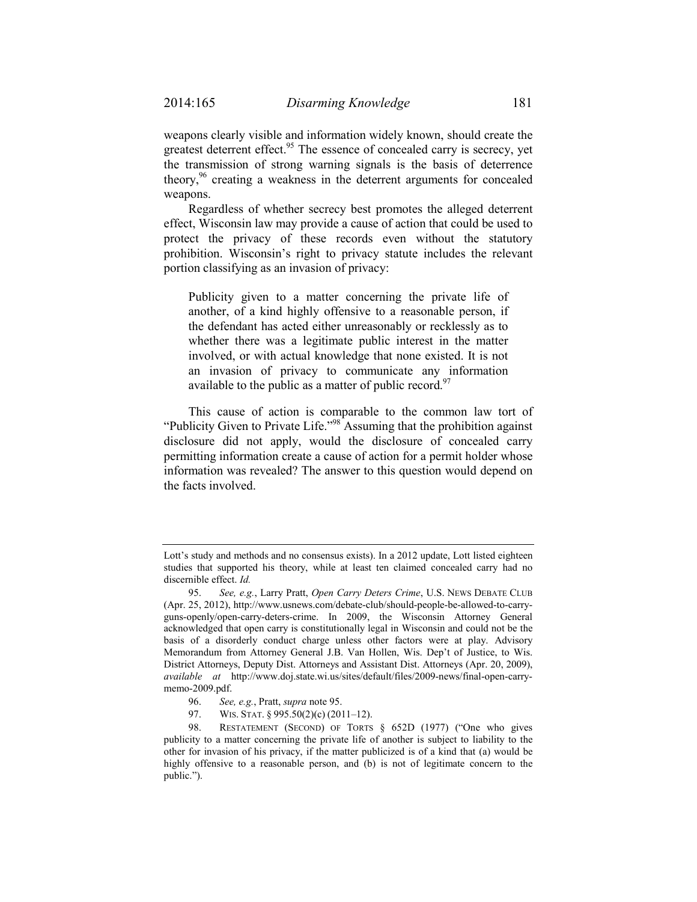weapons clearly visible and information widely known, should create the greatest deterrent effect.<sup>95</sup> The essence of concealed carry is secrecy, yet the transmission of strong warning signals is the basis of deterrence theory,<sup>96</sup> creating a weakness in the deterrent arguments for concealed weapons.

Regardless of whether secrecy best promotes the alleged deterrent effect, Wisconsin law may provide a cause of action that could be used to protect the privacy of these records even without the statutory prohibition. Wisconsin's right to privacy statute includes the relevant portion classifying as an invasion of privacy:

Publicity given to a matter concerning the private life of another, of a kind highly offensive to a reasonable person, if the defendant has acted either unreasonably or recklessly as to whether there was a legitimate public interest in the matter involved, or with actual knowledge that none existed. It is not an invasion of privacy to communicate any information available to the public as a matter of public record.<sup>97</sup>

This cause of action is comparable to the common law tort of "Publicity Given to Private Life."<sup>98</sup> Assuming that the prohibition against disclosure did not apply, would the disclosure of concealed carry permitting information create a cause of action for a permit holder whose information was revealed? The answer to this question would depend on the facts involved.

97. WIS. STAT. § 995.50(2)(c) (2011-12).

Lott's study and methods and no consensus exists). In a 2012 update, Lott listed eighteen studies that supported his theory, while at least ten claimed concealed carry had no discernible effect. *Id.* 

 <sup>95.</sup> *See, e.g.*, Larry Pratt, *Open Carry Deters Crime*, U.S. NEWS DEBATE CLUB (Apr. 25, 2012), http://www.usnews.com/debate-club/should-people-be-allowed-to-carryguns-openly/open-carry-deters-crime. In 2009, the Wisconsin Attorney General acknowledged that open carry is constitutionally legal in Wisconsin and could not be the basis of a disorderly conduct charge unless other factors were at play. Advisory Memorandum from Attorney General J.B. Van Hollen, Wis. Dep't of Justice, to Wis. District Attorneys, Deputy Dist. Attorneys and Assistant Dist. Attorneys (Apr. 20, 2009), *available at* http://www.doj.state.wi.us/sites/default/files/2009-news/final-open-carrymemo-2009.pdf.

 <sup>96.</sup> *See, e.g.*, Pratt, *supra* note 95.

 <sup>98.</sup> RESTATEMENT (SECOND) OF TORTS § 652D (1977) ("One who gives publicity to a matter concerning the private life of another is subject to liability to the other for invasion of his privacy, if the matter publicized is of a kind that (a) would be highly offensive to a reasonable person, and (b) is not of legitimate concern to the public.").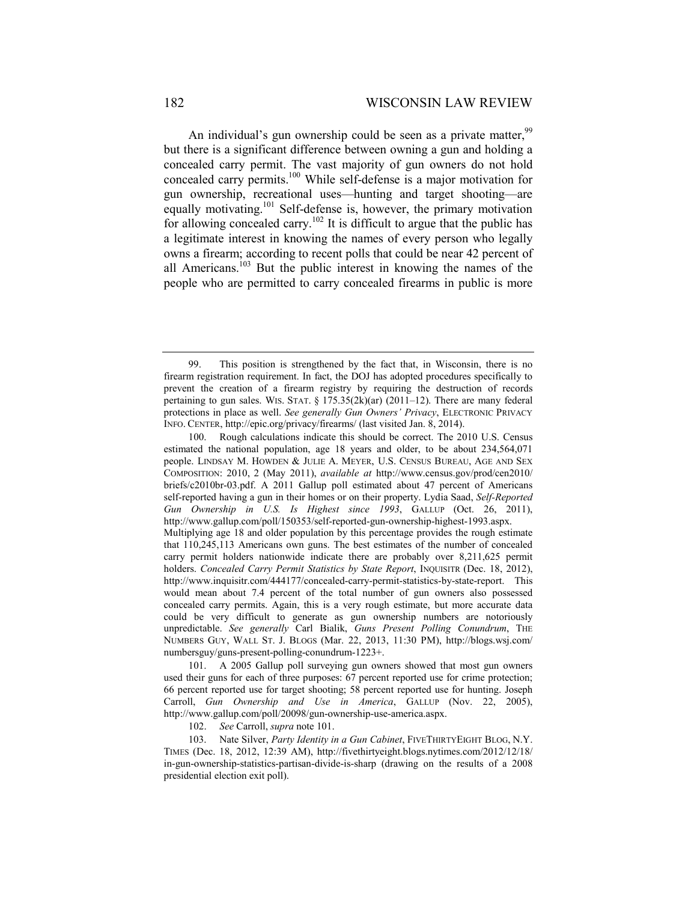An individual's gun ownership could be seen as a private matter,  $9^9$ but there is a significant difference between owning a gun and holding a concealed carry permit. The vast majority of gun owners do not hold concealed carry permits.100 While self-defense is a major motivation for gun ownership, recreational uses—hunting and target shooting—are equally motivating.101 Self-defense is, however, the primary motivation for allowing concealed carry.<sup>102</sup> It is difficult to argue that the public has a legitimate interest in knowing the names of every person who legally owns a firearm; according to recent polls that could be near 42 percent of all Americans.<sup>103</sup> But the public interest in knowing the names of the people who are permitted to carry concealed firearms in public is more

102. *See* Carroll, *supra* note 101.

 103. Nate Silver, *Party Identity in a Gun Cabinet*, FIVETHIRTYEIGHT BLOG, N.Y. TIMES (Dec. 18, 2012, 12:39 AM), http://fivethirtyeight.blogs.nytimes.com/2012/12/18/ in-gun-ownership-statistics-partisan-divide-is-sharp (drawing on the results of a 2008 presidential election exit poll).

 <sup>99.</sup> This position is strengthened by the fact that, in Wisconsin, there is no firearm registration requirement. In fact, the DOJ has adopted procedures specifically to prevent the creation of a firearm registry by requiring the destruction of records pertaining to gun sales. WIS. STAT. § 175.35(2k)(ar) (2011–12). There are many federal protections in place as well. *See generally Gun Owners' Privacy*, ELECTRONIC PRIVACY INFO. CENTER, http://epic.org/privacy/firearms/ (last visited Jan. 8, 2014).

 <sup>100.</sup> Rough calculations indicate this should be correct. The 2010 U.S. Census estimated the national population, age 18 years and older, to be about 234,564,071 people. LINDSAY M. HOWDEN & JULIE A. MEYER, U.S. CENSUS BUREAU, AGE AND SEX COMPOSITION: 2010, 2 (May 2011), *available at* http://www.census.gov/prod/cen2010/ briefs/c2010br-03.pdf. A 2011 Gallup poll estimated about 47 percent of Americans self-reported having a gun in their homes or on their property. Lydia Saad, *Self-Reported Gun Ownership in U.S. Is Highest since 1993*, GALLUP (Oct. 26, 2011), http://www.gallup.com/poll/150353/self-reported-gun-ownership-highest-1993.aspx.

Multiplying age 18 and older population by this percentage provides the rough estimate that 110,245,113 Americans own guns. The best estimates of the number of concealed carry permit holders nationwide indicate there are probably over 8,211,625 permit holders. *Concealed Carry Permit Statistics by State Report*, INQUISITR (Dec. 18, 2012), http://www.inquisitr.com/444177/concealed-carry-permit-statistics-by-state-report. This would mean about 7.4 percent of the total number of gun owners also possessed concealed carry permits. Again, this is a very rough estimate, but more accurate data could be very difficult to generate as gun ownership numbers are notoriously unpredictable. *See generally* Carl Bialik, *Guns Present Polling Conundrum*, THE NUMBERS GUY, WALL ST. J. BLOGS (Mar. 22, 2013, 11:30 PM), http://blogs.wsj.com/ numbersguy/guns-present-polling-conundrum-1223+.

 <sup>101.</sup> A 2005 Gallup poll surveying gun owners showed that most gun owners used their guns for each of three purposes: 67 percent reported use for crime protection; 66 percent reported use for target shooting; 58 percent reported use for hunting. Joseph Carroll, *Gun Ownership and Use in America*, GALLUP (Nov. 22, 2005), http://www.gallup.com/poll/20098/gun-ownership-use-america.aspx.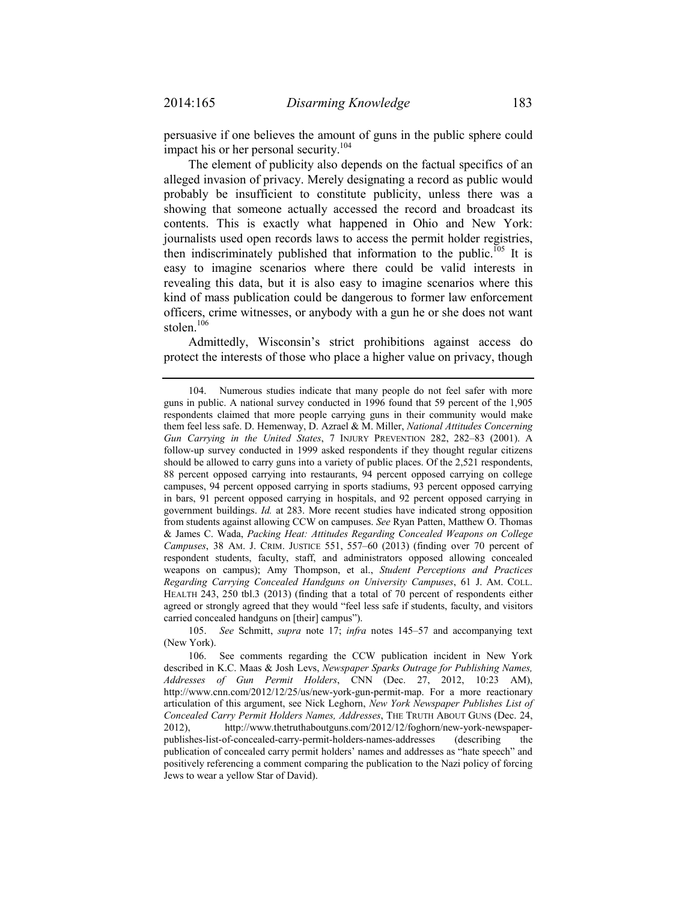persuasive if one believes the amount of guns in the public sphere could impact his or her personal security.<sup>104</sup>

The element of publicity also depends on the factual specifics of an alleged invasion of privacy. Merely designating a record as public would probably be insufficient to constitute publicity, unless there was a showing that someone actually accessed the record and broadcast its contents. This is exactly what happened in Ohio and New York: journalists used open records laws to access the permit holder registries, then indiscriminately published that information to the public.<sup>105</sup> It is easy to imagine scenarios where there could be valid interests in revealing this data, but it is also easy to imagine scenarios where this kind of mass publication could be dangerous to former law enforcement officers, crime witnesses, or anybody with a gun he or she does not want stolen.<sup>106</sup>

Admittedly, Wisconsin's strict prohibitions against access do protect the interests of those who place a higher value on privacy, though

 105. *See* Schmitt, *supra* note 17; *infra* notes 145–57 and accompanying text (New York).

 <sup>104.</sup> Numerous studies indicate that many people do not feel safer with more guns in public. A national survey conducted in 1996 found that 59 percent of the 1,905 respondents claimed that more people carrying guns in their community would make them feel less safe. D. Hemenway, D. Azrael & M. Miller, *National Attitudes Concerning Gun Carrying in the United States*, 7 INJURY PREVENTION 282, 282–83 (2001). A follow-up survey conducted in 1999 asked respondents if they thought regular citizens should be allowed to carry guns into a variety of public places. Of the 2,521 respondents, 88 percent opposed carrying into restaurants, 94 percent opposed carrying on college campuses, 94 percent opposed carrying in sports stadiums, 93 percent opposed carrying in bars, 91 percent opposed carrying in hospitals, and 92 percent opposed carrying in government buildings. *Id.* at 283. More recent studies have indicated strong opposition from students against allowing CCW on campuses. *See* Ryan Patten, Matthew O. Thomas & James C. Wada, *Packing Heat: Attitudes Regarding Concealed Weapons on College Campuses*, 38 AM. J. CRIM. JUSTICE 551, 557–60 (2013) (finding over 70 percent of respondent students, faculty, staff, and administrators opposed allowing concealed weapons on campus); Amy Thompson, et al., *Student Perceptions and Practices Regarding Carrying Concealed Handguns on University Campuses*, 61 J. AM. COLL. HEALTH 243, 250 tbl.3 (2013) (finding that a total of 70 percent of respondents either agreed or strongly agreed that they would "feel less safe if students, faculty, and visitors carried concealed handguns on [their] campus").

 <sup>106.</sup> See comments regarding the CCW publication incident in New York described in K.C. Maas & Josh Levs, *Newspaper Sparks Outrage for Publishing Names, Addresses of Gun Permit Holders*, CNN (Dec. 27, 2012, 10:23 AM), http://www.cnn.com/2012/12/25/us/new-york-gun-permit-map. For a more reactionary articulation of this argument, see Nick Leghorn, *New York Newspaper Publishes List of Concealed Carry Permit Holders Names, Addresses*, THE TRUTH ABOUT GUNS (Dec. 24, 2012), http://www.thetruthaboutguns.com/2012/12/foghorn/new-york-newspaperpublishes-list-of-concealed-carry-permit-holders-names-addresses (describing the publication of concealed carry permit holders' names and addresses as "hate speech" and positively referencing a comment comparing the publication to the Nazi policy of forcing Jews to wear a yellow Star of David).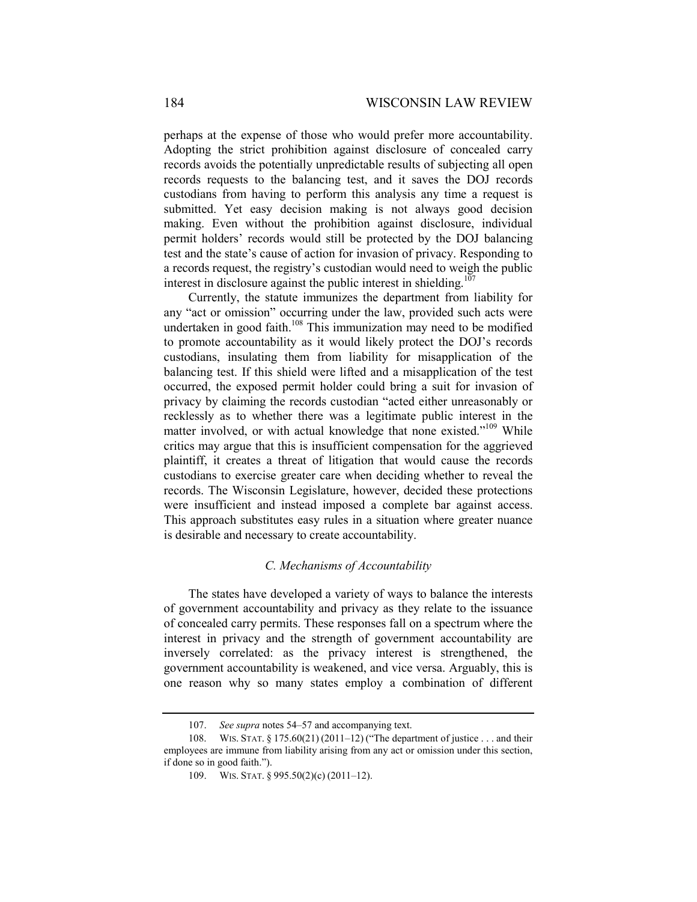perhaps at the expense of those who would prefer more accountability. Adopting the strict prohibition against disclosure of concealed carry records avoids the potentially unpredictable results of subjecting all open records requests to the balancing test, and it saves the DOJ records custodians from having to perform this analysis any time a request is submitted. Yet easy decision making is not always good decision making. Even without the prohibition against disclosure, individual permit holders' records would still be protected by the DOJ balancing test and the state's cause of action for invasion of privacy. Responding to a records request, the registry's custodian would need to weigh the public interest in disclosure against the public interest in shielding.<sup>107</sup>

Currently, the statute immunizes the department from liability for any "act or omission" occurring under the law, provided such acts were undertaken in good faith.<sup>108</sup> This immunization may need to be modified to promote accountability as it would likely protect the DOJ's records custodians, insulating them from liability for misapplication of the balancing test. If this shield were lifted and a misapplication of the test occurred, the exposed permit holder could bring a suit for invasion of privacy by claiming the records custodian "acted either unreasonably or recklessly as to whether there was a legitimate public interest in the matter involved, or with actual knowledge that none existed."<sup>109</sup> While critics may argue that this is insufficient compensation for the aggrieved plaintiff, it creates a threat of litigation that would cause the records custodians to exercise greater care when deciding whether to reveal the records. The Wisconsin Legislature, however, decided these protections were insufficient and instead imposed a complete bar against access. This approach substitutes easy rules in a situation where greater nuance is desirable and necessary to create accountability.

# *C. Mechanisms of Accountability*

The states have developed a variety of ways to balance the interests of government accountability and privacy as they relate to the issuance of concealed carry permits. These responses fall on a spectrum where the interest in privacy and the strength of government accountability are inversely correlated: as the privacy interest is strengthened, the government accountability is weakened, and vice versa. Arguably, this is one reason why so many states employ a combination of different

 <sup>107.</sup> *See supra* notes 54–57 and accompanying text.

 <sup>108.</sup> WIS. STAT. § 175.60(21) (2011–12) ("The department of justice . . . and their employees are immune from liability arising from any act or omission under this section, if done so in good faith.").

<sup>109.</sup> WIS. STAT. § 995.50(2)(c) (2011-12).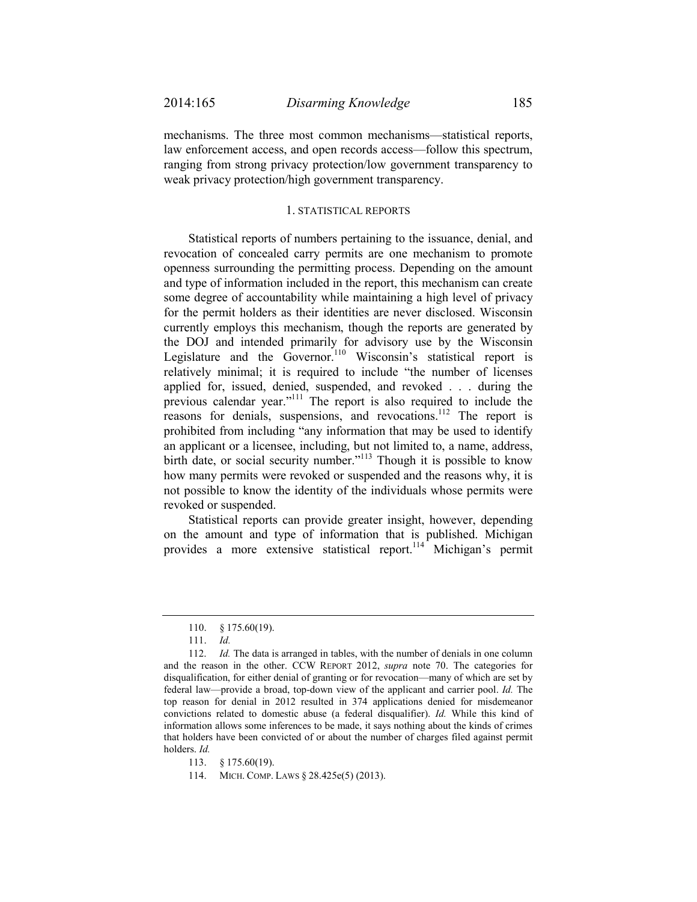mechanisms. The three most common mechanisms—statistical reports, law enforcement access, and open records access—follow this spectrum, ranging from strong privacy protection/low government transparency to weak privacy protection/high government transparency.

#### 1. STATISTICAL REPORTS

Statistical reports of numbers pertaining to the issuance, denial, and revocation of concealed carry permits are one mechanism to promote openness surrounding the permitting process. Depending on the amount and type of information included in the report, this mechanism can create some degree of accountability while maintaining a high level of privacy for the permit holders as their identities are never disclosed. Wisconsin currently employs this mechanism, though the reports are generated by the DOJ and intended primarily for advisory use by the Wisconsin Legislature and the Governor.<sup>110</sup> Wisconsin's statistical report is relatively minimal; it is required to include "the number of licenses applied for, issued, denied, suspended, and revoked . . . during the previous calendar year."111 The report is also required to include the reasons for denials, suspensions, and revocations.<sup>112</sup> The report is prohibited from including "any information that may be used to identify an applicant or a licensee, including, but not limited to, a name, address, birth date, or social security number."<sup>113</sup> Though it is possible to know how many permits were revoked or suspended and the reasons why, it is not possible to know the identity of the individuals whose permits were revoked or suspended.

Statistical reports can provide greater insight, however, depending on the amount and type of information that is published. Michigan provides a more extensive statistical report.<sup>114</sup> Michigan's permit

113. § 175.60(19).

114. MICH. COMP. LAWS § 28.425e(5) (2013).

 <sup>110. §</sup> 175.60(19).

<sup>111.</sup> *Id.*

 <sup>112.</sup> *Id.* The data is arranged in tables, with the number of denials in one column and the reason in the other. CCW REPORT 2012, *supra* note 70. The categories for disqualification, for either denial of granting or for revocation—many of which are set by federal law—provide a broad, top-down view of the applicant and carrier pool. *Id.* The top reason for denial in 2012 resulted in 374 applications denied for misdemeanor convictions related to domestic abuse (a federal disqualifier). *Id.* While this kind of information allows some inferences to be made, it says nothing about the kinds of crimes that holders have been convicted of or about the number of charges filed against permit holders. *Id.*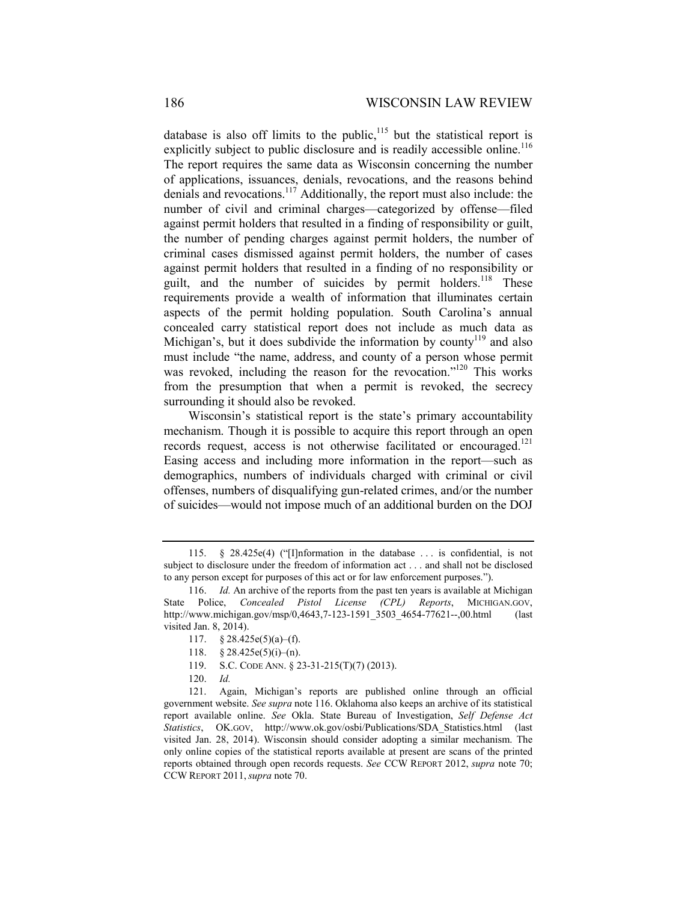database is also off limits to the public, $115$  but the statistical report is explicitly subject to public disclosure and is readily accessible online.<sup>116</sup> The report requires the same data as Wisconsin concerning the number of applications, issuances, denials, revocations, and the reasons behind denials and revocations.117 Additionally, the report must also include: the number of civil and criminal charges—categorized by offense—filed against permit holders that resulted in a finding of responsibility or guilt, the number of pending charges against permit holders, the number of criminal cases dismissed against permit holders, the number of cases against permit holders that resulted in a finding of no responsibility or guilt, and the number of suicides by permit holders.<sup>118</sup> These requirements provide a wealth of information that illuminates certain aspects of the permit holding population. South Carolina's annual concealed carry statistical report does not include as much data as Michigan's, but it does subdivide the information by county<sup>119</sup> and also must include "the name, address, and county of a person whose permit was revoked, including the reason for the revocation."<sup>120</sup> This works from the presumption that when a permit is revoked, the secrecy surrounding it should also be revoked.

Wisconsin's statistical report is the state's primary accountability mechanism. Though it is possible to acquire this report through an open records request, access is not otherwise facilitated or encouraged.<sup>121</sup> Easing access and including more information in the report—such as demographics, numbers of individuals charged with criminal or civil offenses, numbers of disqualifying gun-related crimes, and/or the number of suicides—would not impose much of an additional burden on the DOJ

 <sup>115. § 28.425</sup>e(4) ("[I]nformation in the database . . . is confidential, is not subject to disclosure under the freedom of information act . . . and shall not be disclosed to any person except for purposes of this act or for law enforcement purposes.").

 <sup>116.</sup> *Id.* An archive of the reports from the past ten years is available at Michigan State Police, *Concealed Pistol License (CPL) Reports*, MICHIGAN.GOV, http://www.michigan.gov/msp/0,4643,7-123-1591\_3503\_4654-77621--,00.html (last visited Jan. 8, 2014).

<sup>117.</sup>  $§ 28.425e(5)(a)–(f).$ 

 <sup>118. §</sup> 28.425e(5)(i)–(n).

 <sup>119.</sup> S.C. CODE ANN. § 23-31-215(T)(7) (2013).

 <sup>120.</sup> *Id.*

 <sup>121.</sup> Again, Michigan's reports are published online through an official government website. *See supra* note 116. Oklahoma also keeps an archive of its statistical report available online. *See* Okla. State Bureau of Investigation, *Self Defense Act Statistics*, OK.GOV, http://www.ok.gov/osbi/Publications/SDA\_Statistics.html (last visited Jan. 28, 2014). Wisconsin should consider adopting a similar mechanism. The only online copies of the statistical reports available at present are scans of the printed reports obtained through open records requests. *See* CCW REPORT 2012, *supra* note 70; CCW REPORT 2011,*supra* note 70.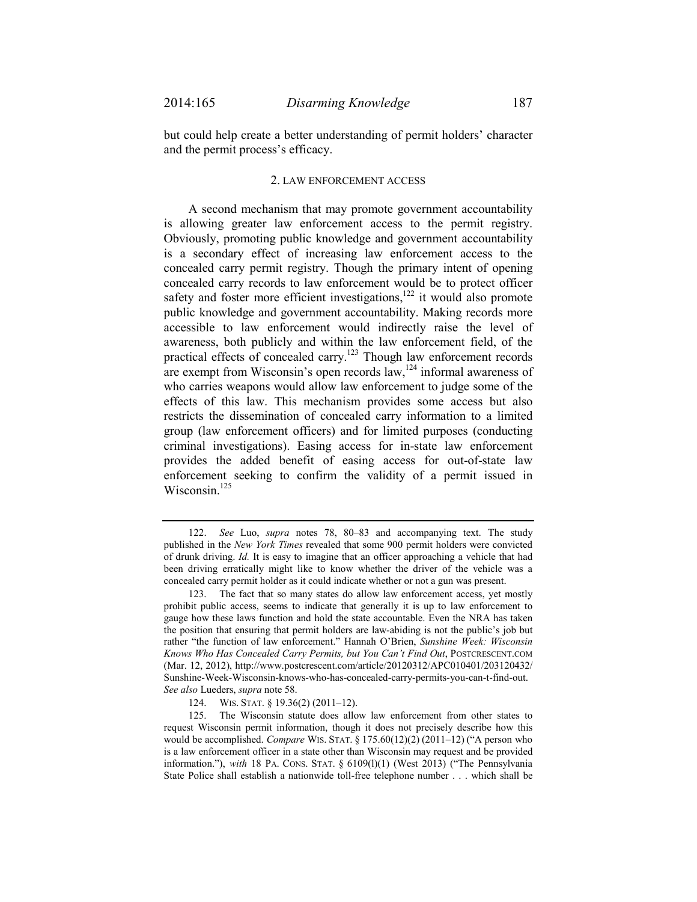but could help create a better understanding of permit holders' character and the permit process's efficacy.

## 2. LAW ENFORCEMENT ACCESS

A second mechanism that may promote government accountability is allowing greater law enforcement access to the permit registry. Obviously, promoting public knowledge and government accountability is a secondary effect of increasing law enforcement access to the concealed carry permit registry. Though the primary intent of opening concealed carry records to law enforcement would be to protect officer safety and foster more efficient investigations,<sup>122</sup> it would also promote public knowledge and government accountability. Making records more accessible to law enforcement would indirectly raise the level of awareness, both publicly and within the law enforcement field, of the practical effects of concealed carry.<sup>123</sup> Though law enforcement records are exempt from Wisconsin's open records  $\lim_{n \to \infty} 124$  informal awareness of who carries weapons would allow law enforcement to judge some of the effects of this law. This mechanism provides some access but also restricts the dissemination of concealed carry information to a limited group (law enforcement officers) and for limited purposes (conducting criminal investigations). Easing access for in-state law enforcement provides the added benefit of easing access for out-of-state law enforcement seeking to confirm the validity of a permit issued in Wisconsin.<sup>125</sup>

 <sup>122.</sup> *See* Luo, *supra* notes 78, 80–83 and accompanying text. The study published in the *New York Times* revealed that some 900 permit holders were convicted of drunk driving. *Id.* It is easy to imagine that an officer approaching a vehicle that had been driving erratically might like to know whether the driver of the vehicle was a concealed carry permit holder as it could indicate whether or not a gun was present.

 <sup>123.</sup> The fact that so many states do allow law enforcement access, yet mostly prohibit public access, seems to indicate that generally it is up to law enforcement to gauge how these laws function and hold the state accountable. Even the NRA has taken the position that ensuring that permit holders are law-abiding is not the public's job but rather "the function of law enforcement." Hannah O'Brien, *Sunshine Week: Wisconsin Knows Who Has Concealed Carry Permits, but You Can't Find Out*, POSTCRESCENT.COM (Mar. 12, 2012), http://www.postcrescent.com/article/20120312/APC010401/203120432/ Sunshine-Week-Wisconsin-knows-who-has-concealed-carry-permits-you-can-t-find-out. *See also* Lueders, *supra* note 58.

 <sup>124.</sup> WIS. STAT. § 19.36(2) (2011–12).

 <sup>125.</sup> The Wisconsin statute does allow law enforcement from other states to request Wisconsin permit information, though it does not precisely describe how this would be accomplished. *Compare* WIS. STAT. § 175.60(12)(2) (2011–12) ("A person who is a law enforcement officer in a state other than Wisconsin may request and be provided information."), *with* 18 PA. CONS. STAT. § 6109(l)(1) (West 2013) ("The Pennsylvania State Police shall establish a nationwide toll-free telephone number . . . which shall be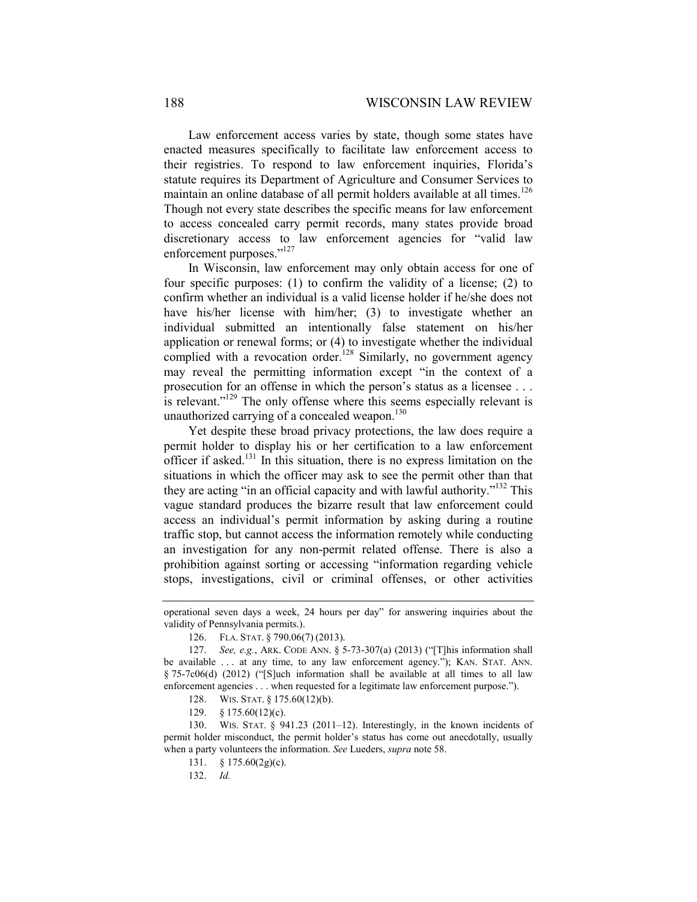Law enforcement access varies by state, though some states have enacted measures specifically to facilitate law enforcement access to their registries. To respond to law enforcement inquiries, Florida's statute requires its Department of Agriculture and Consumer Services to maintain an online database of all permit holders available at all times.<sup>126</sup> Though not every state describes the specific means for law enforcement to access concealed carry permit records, many states provide broad discretionary access to law enforcement agencies for "valid law enforcement purposes."<sup>127</sup>

In Wisconsin, law enforcement may only obtain access for one of four specific purposes: (1) to confirm the validity of a license; (2) to confirm whether an individual is a valid license holder if he/she does not have his/her license with him/her; (3) to investigate whether an individual submitted an intentionally false statement on his/her application or renewal forms; or (4) to investigate whether the individual complied with a revocation order.<sup>128</sup> Similarly, no government agency may reveal the permitting information except "in the context of a prosecution for an offense in which the person's status as a licensee . . . is relevant."<sup>129</sup> The only offense where this seems especially relevant is unauthorized carrying of a concealed weapon.<sup>130</sup>

Yet despite these broad privacy protections, the law does require a permit holder to display his or her certification to a law enforcement officer if asked.<sup>131</sup> In this situation, there is no express limitation on the situations in which the officer may ask to see the permit other than that they are acting "in an official capacity and with lawful authority."132 This vague standard produces the bizarre result that law enforcement could access an individual's permit information by asking during a routine traffic stop, but cannot access the information remotely while conducting an investigation for any non-permit related offense. There is also a prohibition against sorting or accessing "information regarding vehicle stops, investigations, civil or criminal offenses, or other activities

operational seven days a week, 24 hours per day" for answering inquiries about the validity of Pennsylvania permits.).

 <sup>126.</sup> FLA. STAT. § 790.06(7) (2013).

 <sup>127.</sup> *See, e.g.*, ARK. CODE ANN. § 5-73-307(a) (2013) ("[T]his information shall be available . . . at any time, to any law enforcement agency."); KAN. STAT. ANN.  $§ 75-7c06(d)$  (2012) ("S ] uch information shall be available at all times to all law enforcement agencies . . . when requested for a legitimate law enforcement purpose.").

 <sup>128.</sup> WIS. STAT. § 175.60(12)(b).

 <sup>129. §</sup> 175.60(12)(c).

 <sup>130.</sup> WIS. STAT. § 941.23 (2011–12). Interestingly, in the known incidents of permit holder misconduct, the permit holder's status has come out anecdotally, usually when a party volunteers the information. *See* Lueders, *supra* note 58.

 <sup>131. § 175.60(2</sup>g)(c).

 <sup>132.</sup> *Id.*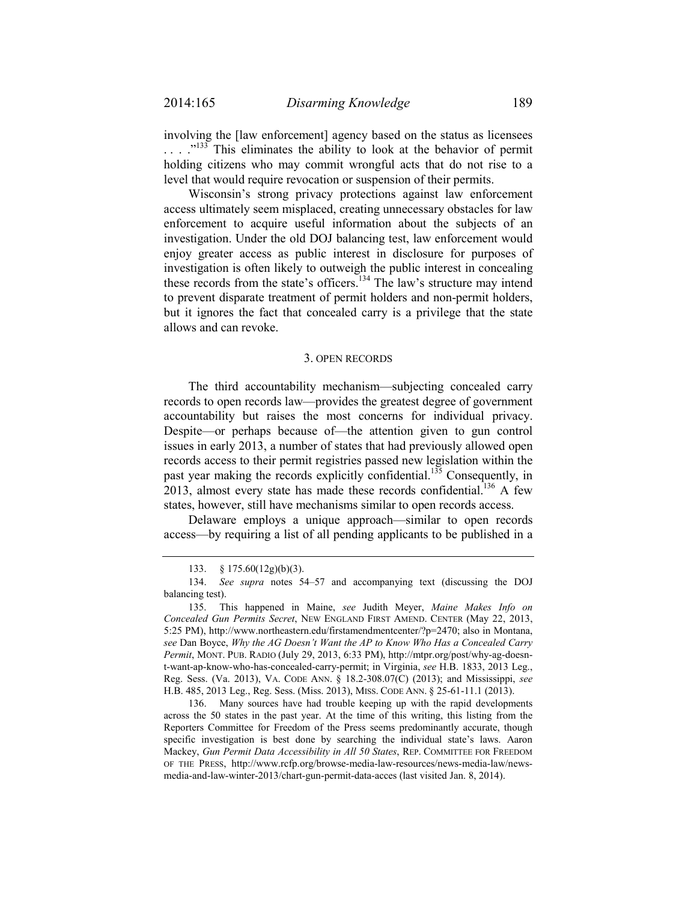involving the [law enforcement] agency based on the status as licensees ...."<sup>133</sup> This eliminates the ability to look at the behavior of permit holding citizens who may commit wrongful acts that do not rise to a level that would require revocation or suspension of their permits.

Wisconsin's strong privacy protections against law enforcement access ultimately seem misplaced, creating unnecessary obstacles for law enforcement to acquire useful information about the subjects of an investigation. Under the old DOJ balancing test, law enforcement would enjoy greater access as public interest in disclosure for purposes of investigation is often likely to outweigh the public interest in concealing these records from the state's officers.<sup>134</sup> The law's structure may intend to prevent disparate treatment of permit holders and non-permit holders, but it ignores the fact that concealed carry is a privilege that the state allows and can revoke.

## 3. OPEN RECORDS

The third accountability mechanism—subjecting concealed carry records to open records law—provides the greatest degree of government accountability but raises the most concerns for individual privacy. Despite—or perhaps because of—the attention given to gun control issues in early 2013, a number of states that had previously allowed open records access to their permit registries passed new legislation within the past year making the records explicitly confidential.<sup>135</sup> Consequently, in 2013, almost every state has made these records confidential.<sup>136</sup> A few states, however, still have mechanisms similar to open records access.

Delaware employs a unique approach—similar to open records access—by requiring a list of all pending applicants to be published in a

 <sup>133. § 175.60(12</sup>g)(b)(3).

<sup>134.</sup> *See supra* notes 54–57 and accompanying text (discussing the DOJ balancing test).

 <sup>135.</sup> This happened in Maine, *see* Judith Meyer, *Maine Makes Info on Concealed Gun Permits Secret*, NEW ENGLAND FIRST AMEND. CENTER (May 22, 2013, 5:25 PM), http://www.northeastern.edu/firstamendmentcenter/?p=2470; also in Montana, *see* Dan Boyce, *Why the AG Doesn't Want the AP to Know Who Has a Concealed Carry Permit*, MONT. PUB. RADIO (July 29, 2013, 6:33 PM), http://mtpr.org/post/why-ag-doesnt-want-ap-know-who-has-concealed-carry-permit; in Virginia, *see* H.B. 1833, 2013 Leg., Reg. Sess. (Va. 2013), VA. CODE ANN. § 18.2-308.07(C) (2013); and Mississippi, *see*  H.B. 485, 2013 Leg., Reg. Sess. (Miss. 2013), MISS. CODE ANN. § 25-61-11.1 (2013).

 <sup>136.</sup> Many sources have had trouble keeping up with the rapid developments across the 50 states in the past year. At the time of this writing, this listing from the Reporters Committee for Freedom of the Press seems predominantly accurate, though specific investigation is best done by searching the individual state's laws. Aaron Mackey, *Gun Permit Data Accessibility in All 50 States*, REP. COMMITTEE FOR FREEDOM OF THE PRESS, http://www.rcfp.org/browse-media-law-resources/news-media-law/newsmedia-and-law-winter-2013/chart-gun-permit-data-acces (last visited Jan. 8, 2014).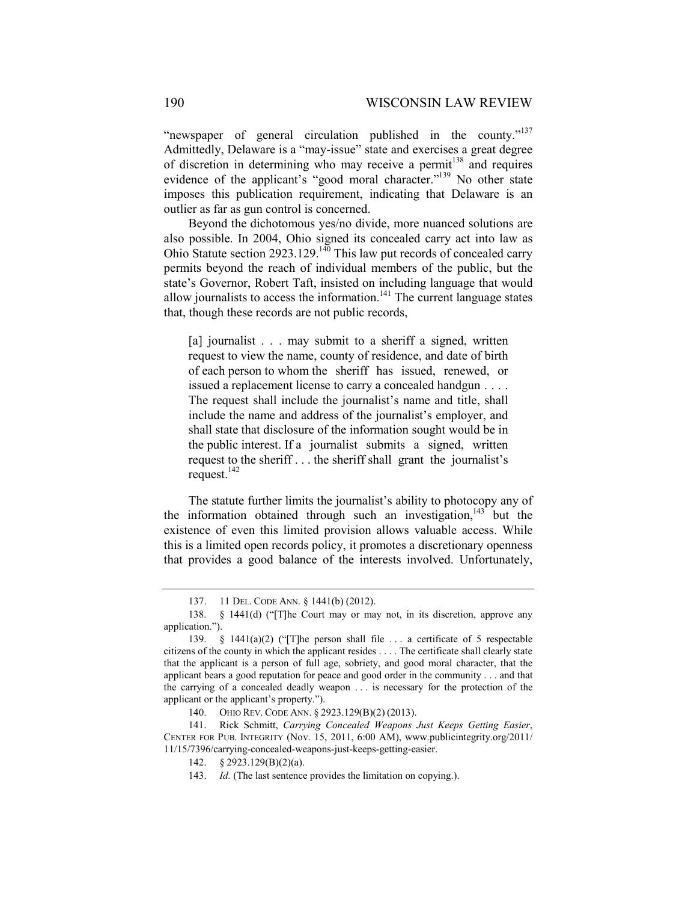"newspaper of general circulation published in the county."<sup>137</sup> Admittedly, Delaware is a "may-issue" state and exercises a great degree of discretion in determining who may receive a permit<sup>138</sup> and requires evidence of the applicant's "good moral character."<sup>139</sup> No other state imposes this publication requirement, indicating that Delaware is an outlier as far as gun control is concerned.

Beyond the dichotomous yes/no divide, more nuanced solutions are also possible. In 2004, Ohio signed its concealed carry act into law as Ohio Statute section 2923.129.<sup>140</sup> This law put records of concealed carry permits beyond the reach of individual members of the public, but the state's Governor, Robert Taft, insisted on including language that would allow journalists to access the information.<sup>141</sup> The current language states that, though these records are not public records,

[a] journalist . . . may submit to a sheriff a signed, written request to view the name, county of residence, and date of birth of each person to whom the sheriff has issued, renewed, or issued a replacement license to carry a concealed handgun . . . . The request shall include the journalist's name and title, shall include the name and address of the journalist's employer, and shall state that disclosure of the information sought would be in the public interest. If a journalist submits a signed, written request to the sheriff . . . the sheriff shall grant the journalist's request.<sup>142</sup>

The statute further limits the journalist's ability to photocopy any of the information obtained through such an investigation, $143$  but the existence of even this limited provision allows valuable access. While this is a limited open records policy, it promotes a discretionary openness that provides a good balance of the interests involved. Unfortunately,

140. OHIO REV. CODE ANN. § 2923.129(B)(2) (2013).

 141. Rick Schmitt, *Carrying Concealed Weapons Just Keeps Getting Easier*, CENTER FOR PUB. INTEGRITY (Nov. 15, 2011, 6:00 AM), www.publicintegrity.org/2011/ 11/15/7396/carrying-concealed-weapons-just-keeps-getting-easier.

 <sup>137. 11</sup> DEL. CODE ANN. § 1441(b) (2012).

 <sup>138. § 1441(</sup>d) ("[T]he Court may or may not, in its discretion, approve any application.").

 <sup>139. § 1441(</sup>a)(2) ("[T]he person shall file . . . a certificate of 5 respectable citizens of the county in which the applicant resides . . . . The certificate shall clearly state that the applicant is a person of full age, sobriety, and good moral character, that the applicant bears a good reputation for peace and good order in the community . . . and that the carrying of a concealed deadly weapon . . . is necessary for the protection of the applicant or the applicant's property.").

 <sup>142. §</sup> 2923.129(B)(2)(a).

 <sup>143.</sup> *Id.* (The last sentence provides the limitation on copying.).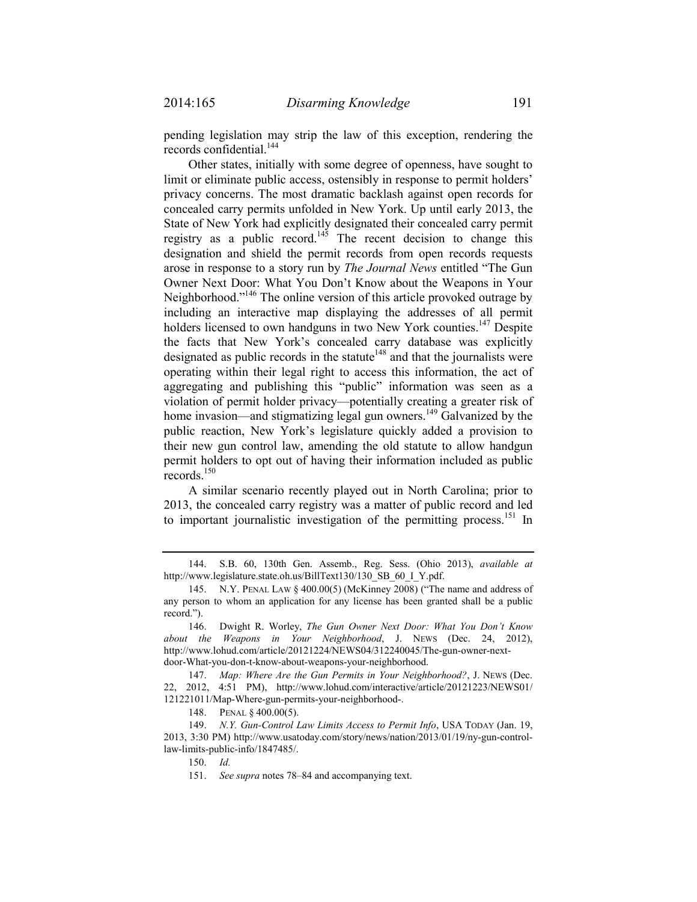pending legislation may strip the law of this exception, rendering the records confidential.<sup>144</sup>

Other states, initially with some degree of openness, have sought to limit or eliminate public access, ostensibly in response to permit holders' privacy concerns. The most dramatic backlash against open records for concealed carry permits unfolded in New York. Up until early 2013, the State of New York had explicitly designated their concealed carry permit registry as a public record.<sup>145</sup> The recent decision to change this designation and shield the permit records from open records requests arose in response to a story run by *The Journal News* entitled "The Gun Owner Next Door: What You Don't Know about the Weapons in Your Neighborhood."146 The online version of this article provoked outrage by including an interactive map displaying the addresses of all permit holders licensed to own handguns in two New York counties.<sup>147</sup> Despite the facts that New York's concealed carry database was explicitly designated as public records in the statute<sup> $148$ </sup> and that the journalists were operating within their legal right to access this information, the act of aggregating and publishing this "public" information was seen as a violation of permit holder privacy—potentially creating a greater risk of home invasion—and stigmatizing legal gun owners.<sup>149</sup> Galvanized by the public reaction, New York's legislature quickly added a provision to their new gun control law, amending the old statute to allow handgun permit holders to opt out of having their information included as public records.150

A similar scenario recently played out in North Carolina; prior to 2013, the concealed carry registry was a matter of public record and led to important journalistic investigation of the permitting process.<sup>151</sup> In

148. PENAL § 400.00(5).

 149. *N.Y. Gun-Control Law Limits Access to Permit Info*, USA TODAY (Jan. 19, 2013, 3:30 PM) http://www.usatoday.com/story/news/nation/2013/01/19/ny-gun-controllaw-limits-public-info/1847485/.

150. *Id.* 

151. *See supra* notes 78–84 and accompanying text.

 <sup>144.</sup> S.B. 60, 130th Gen. Assemb., Reg. Sess. (Ohio 2013), *available at*  http://www.legislature.state.oh.us/BillText130/130\_SB\_60\_I\_Y.pdf.

 <sup>145.</sup> N.Y. PENAL LAW § 400.00(5) (McKinney 2008) ("The name and address of any person to whom an application for any license has been granted shall be a public record.").

 <sup>146.</sup> Dwight R. Worley, *The Gun Owner Next Door: What You Don't Know about the Weapons in Your Neighborhood*, J. NEWS (Dec. 24, 2012), http://www.lohud.com/article/20121224/NEWS04/312240045/The-gun-owner-nextdoor-What-you-don-t-know-about-weapons-your-neighborhood.

 <sup>147.</sup> *Map: Where Are the Gun Permits in Your Neighborhood?*, J. NEWS (Dec. 22, 2012, 4:51 PM), http://www.lohud.com/interactive/article/20121223/NEWS01/ 121221011/Map-Where-gun-permits-your-neighborhood-.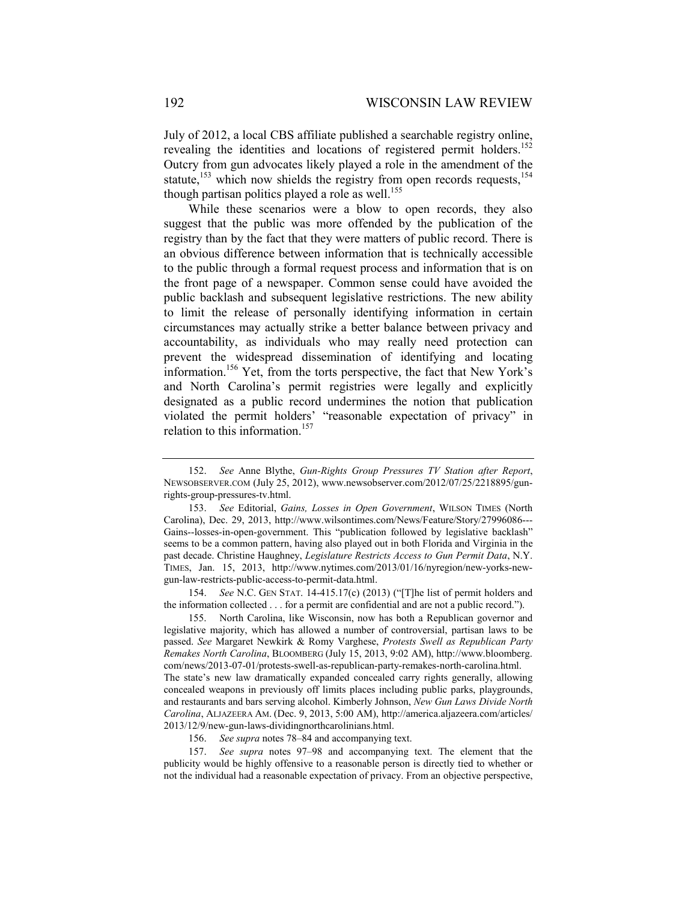July of 2012, a local CBS affiliate published a searchable registry online, revealing the identities and locations of registered permit holders.<sup>152</sup> Outcry from gun advocates likely played a role in the amendment of the statute,<sup>153</sup> which now shields the registry from open records requests,<sup>154</sup> though partisan politics played a role as well.<sup>155</sup>

While these scenarios were a blow to open records, they also suggest that the public was more offended by the publication of the registry than by the fact that they were matters of public record. There is an obvious difference between information that is technically accessible to the public through a formal request process and information that is on the front page of a newspaper. Common sense could have avoided the public backlash and subsequent legislative restrictions. The new ability to limit the release of personally identifying information in certain circumstances may actually strike a better balance between privacy and accountability, as individuals who may really need protection can prevent the widespread dissemination of identifying and locating information.156 Yet, from the torts perspective, the fact that New York's and North Carolina's permit registries were legally and explicitly designated as a public record undermines the notion that publication violated the permit holders' "reasonable expectation of privacy" in relation to this information.<sup>157</sup>

 154. *See* N.C. GEN STAT. 14-415.17(c) (2013) ("[T]he list of permit holders and the information collected . . . for a permit are confidential and are not a public record.").

 155. North Carolina, like Wisconsin, now has both a Republican governor and legislative majority, which has allowed a number of controversial, partisan laws to be passed. *See* Margaret Newkirk & Romy Varghese, *Protests Swell as Republican Party Remakes North Carolina*, BLOOMBERG (July 15, 2013, 9:02 AM), http://www.bloomberg. com/news/2013-07-01/protests-swell-as-republican-party-remakes-north-carolina.html. The state's new law dramatically expanded concealed carry rights generally, allowing concealed weapons in previously off limits places including public parks, playgrounds, and restaurants and bars serving alcohol. Kimberly Johnson, *New Gun Laws Divide North Carolina*, ALJAZEERA AM. (Dec. 9, 2013, 5:00 AM), http://america.aljazeera.com/articles/ 2013/12/9/new-gun-laws-dividingnorthcarolinians.html.

156. *See supra* notes 78–84 and accompanying text.

157. *See supra* notes 97–98 and accompanying text. The element that the publicity would be highly offensive to a reasonable person is directly tied to whether or not the individual had a reasonable expectation of privacy. From an objective perspective,

 <sup>152.</sup> *See* Anne Blythe, *Gun-Rights Group Pressures TV Station after Report*, NEWSOBSERVER.COM (July 25, 2012), www.newsobserver.com/2012/07/25/2218895/gunrights-group-pressures-tv.html.

<sup>153.</sup> *See* Editorial, *Gains, Losses in Open Government*, WILSON TIMES (North Carolina), Dec. 29, 2013, http://www.wilsontimes.com/News/Feature/Story/27996086--- Gains--losses-in-open-government. This "publication followed by legislative backlash" seems to be a common pattern, having also played out in both Florida and Virginia in the past decade. Christine Haughney, *Legislature Restricts Access to Gun Permit Data*, N.Y. TIMES, Jan. 15, 2013, http://www.nytimes.com/2013/01/16/nyregion/new-yorks-newgun-law-restricts-public-access-to-permit-data.html.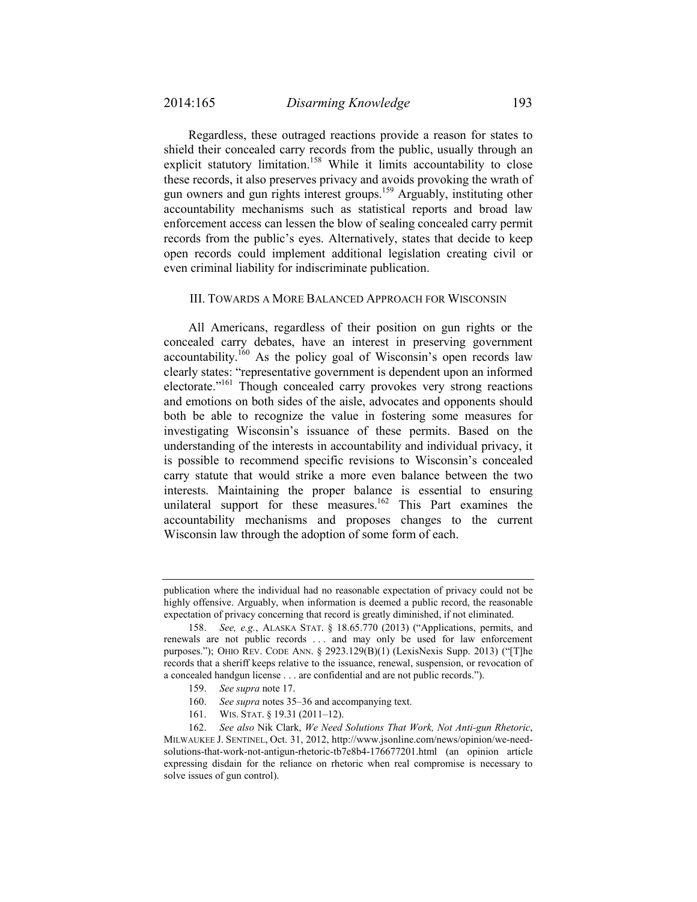Regardless, these outraged reactions provide a reason for states to shield their concealed carry records from the public, usually through an explicit statutory limitation.<sup>158</sup> While it limits accountability to close these records, it also preserves privacy and avoids provoking the wrath of gun owners and gun rights interest groups.159 Arguably, instituting other accountability mechanisms such as statistical reports and broad law enforcement access can lessen the blow of sealing concealed carry permit records from the public's eyes. Alternatively, states that decide to keep open records could implement additional legislation creating civil or even criminal liability for indiscriminate publication.

## III. TOWARDS A MORE BALANCED APPROACH FOR WISCONSIN

All Americans, regardless of their position on gun rights or the concealed carry debates, have an interest in preserving government  $\alpha$  accountability.<sup>160</sup> As the policy goal of Wisconsin's open records law clearly states: "representative government is dependent upon an informed electorate."<sup>161</sup> Though concealed carry provokes very strong reactions and emotions on both sides of the aisle, advocates and opponents should both be able to recognize the value in fostering some measures for investigating Wisconsin's issuance of these permits. Based on the understanding of the interests in accountability and individual privacy, it is possible to recommend specific revisions to Wisconsin's concealed carry statute that would strike a more even balance between the two interests. Maintaining the proper balance is essential to ensuring unilateral support for these measures.<sup>162</sup> This Part examines the accountability mechanisms and proposes changes to the current Wisconsin law through the adoption of some form of each.

- 159. *See supra* note 17.
- 160. *See supra* notes 35–36 and accompanying text.
- 161. WIS. STAT. § 19.31 (2011–12).

publication where the individual had no reasonable expectation of privacy could not be highly offensive. Arguably, when information is deemed a public record, the reasonable expectation of privacy concerning that record is greatly diminished, if not eliminated.

<sup>158.</sup> *See, e.g.*, ALASKA STAT. § 18.65.770 (2013) ("Applications, permits, and renewals are not public records . . . and may only be used for law enforcement purposes."); OHIO REV. CODE ANN. § 2923.129(B)(1) (LexisNexis Supp. 2013) ("[T]he records that a sheriff keeps relative to the issuance, renewal, suspension, or revocation of a concealed handgun license . . . are confidential and are not public records.").

 <sup>162.</sup> *See also* Nik Clark, *We Need Solutions That Work, Not Anti-gun Rhetoric*, MILWAUKEE J. SENTINEL, Oct. 31, 2012, http://www.jsonline.com/news/opinion/we-needsolutions-that-work-not-antigun-rhetoric-tb7e8b4-176677201.html (an opinion article expressing disdain for the reliance on rhetoric when real compromise is necessary to solve issues of gun control).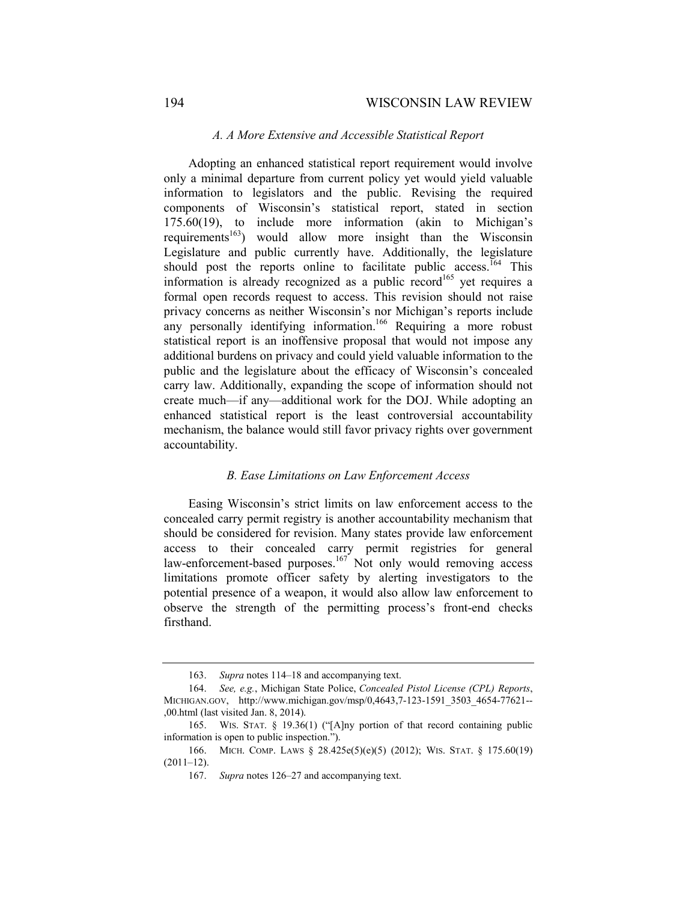#### *A. A More Extensive and Accessible Statistical Report*

Adopting an enhanced statistical report requirement would involve only a minimal departure from current policy yet would yield valuable information to legislators and the public. Revising the required components of Wisconsin's statistical report, stated in section 175.60(19), to include more information (akin to Michigan's requirements<sup>163</sup>) would allow more insight than the Wisconsin Legislature and public currently have. Additionally, the legislature should post the reports online to facilitate public access.<sup>164</sup> This information is already recognized as a public record<sup>165</sup> yet requires a formal open records request to access. This revision should not raise privacy concerns as neither Wisconsin's nor Michigan's reports include any personally identifying information.<sup>166</sup> Requiring a more robust statistical report is an inoffensive proposal that would not impose any additional burdens on privacy and could yield valuable information to the public and the legislature about the efficacy of Wisconsin's concealed carry law. Additionally, expanding the scope of information should not create much—if any—additional work for the DOJ. While adopting an enhanced statistical report is the least controversial accountability mechanism, the balance would still favor privacy rights over government accountability.

# *B. Ease Limitations on Law Enforcement Access*

Easing Wisconsin's strict limits on law enforcement access to the concealed carry permit registry is another accountability mechanism that should be considered for revision. Many states provide law enforcement access to their concealed carry permit registries for general law-enforcement-based purposes.<sup>167</sup> Not only would removing access limitations promote officer safety by alerting investigators to the potential presence of a weapon, it would also allow law enforcement to observe the strength of the permitting process's front-end checks firsthand.

 <sup>163.</sup> *Supra* notes 114–18 and accompanying text.

 <sup>164.</sup> *See, e.g.*, Michigan State Police, *Concealed Pistol License (CPL) Reports*, MICHIGAN.GOV, http://www.michigan.gov/msp/0,4643,7-123-1591\_3503\_4654-77621-- ,00.html (last visited Jan. 8, 2014).

 <sup>165.</sup> WIS. STAT. § 19.36(1) ("[A]ny portion of that record containing public information is open to public inspection.").

 <sup>166.</sup> MICH. COMP. LAWS § 28.425e(5)(e)(5) (2012); WIS. STAT. § 175.60(19)  $(2011-12)$ .

 <sup>167.</sup> *Supra* notes 126–27 and accompanying text.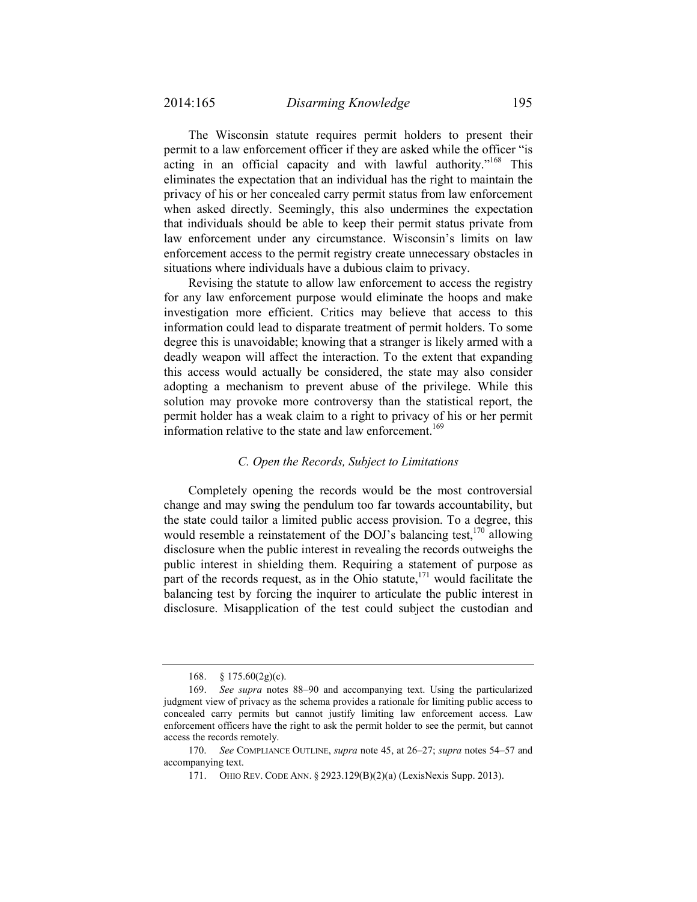The Wisconsin statute requires permit holders to present their permit to a law enforcement officer if they are asked while the officer "is acting in an official capacity and with lawful authority."<sup>168</sup> This eliminates the expectation that an individual has the right to maintain the privacy of his or her concealed carry permit status from law enforcement when asked directly. Seemingly, this also undermines the expectation that individuals should be able to keep their permit status private from law enforcement under any circumstance. Wisconsin's limits on law enforcement access to the permit registry create unnecessary obstacles in situations where individuals have a dubious claim to privacy.

Revising the statute to allow law enforcement to access the registry for any law enforcement purpose would eliminate the hoops and make investigation more efficient. Critics may believe that access to this information could lead to disparate treatment of permit holders. To some degree this is unavoidable; knowing that a stranger is likely armed with a deadly weapon will affect the interaction. To the extent that expanding this access would actually be considered, the state may also consider adopting a mechanism to prevent abuse of the privilege. While this solution may provoke more controversy than the statistical report, the permit holder has a weak claim to a right to privacy of his or her permit information relative to the state and law enforcement.<sup>169</sup>

# *C. Open the Records, Subject to Limitations*

Completely opening the records would be the most controversial change and may swing the pendulum too far towards accountability, but the state could tailor a limited public access provision. To a degree, this would resemble a reinstatement of the DOJ's balancing test,  $170$  allowing disclosure when the public interest in revealing the records outweighs the public interest in shielding them. Requiring a statement of purpose as part of the records request, as in the Ohio statute, $171$  would facilitate the balancing test by forcing the inquirer to articulate the public interest in disclosure. Misapplication of the test could subject the custodian and

 <sup>168. § 175.60(2</sup>g)(c).

 <sup>169.</sup> *See supra* notes 88–90 and accompanying text. Using the particularized judgment view of privacy as the schema provides a rationale for limiting public access to concealed carry permits but cannot justify limiting law enforcement access. Law enforcement officers have the right to ask the permit holder to see the permit, but cannot access the records remotely.

 <sup>170.</sup> *See* COMPLIANCE OUTLINE, *supra* note 45, at 26–27; *supra* notes 54–57 and accompanying text.

 <sup>171.</sup> OHIO REV. CODE ANN. § 2923.129(B)(2)(a) (LexisNexis Supp. 2013).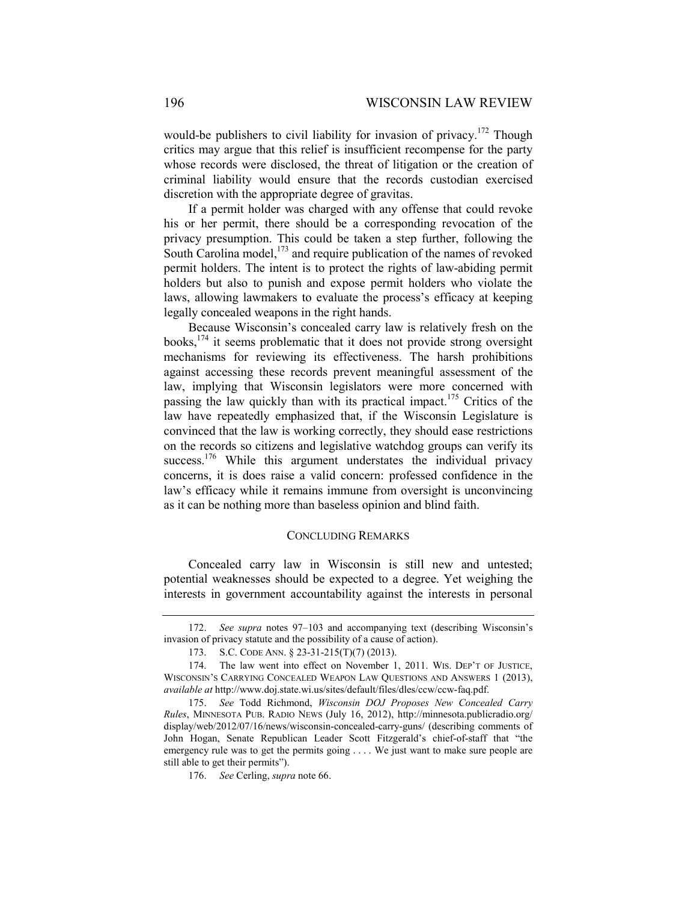would-be publishers to civil liability for invasion of privacy.<sup>172</sup> Though critics may argue that this relief is insufficient recompense for the party whose records were disclosed, the threat of litigation or the creation of criminal liability would ensure that the records custodian exercised discretion with the appropriate degree of gravitas.

If a permit holder was charged with any offense that could revoke his or her permit, there should be a corresponding revocation of the privacy presumption. This could be taken a step further, following the South Carolina model,<sup>173</sup> and require publication of the names of revoked permit holders. The intent is to protect the rights of law-abiding permit holders but also to punish and expose permit holders who violate the laws, allowing lawmakers to evaluate the process's efficacy at keeping legally concealed weapons in the right hands.

Because Wisconsin's concealed carry law is relatively fresh on the books,  $174$  it seems problematic that it does not provide strong oversight mechanisms for reviewing its effectiveness. The harsh prohibitions against accessing these records prevent meaningful assessment of the law, implying that Wisconsin legislators were more concerned with passing the law quickly than with its practical impact.<sup>175</sup> Critics of the law have repeatedly emphasized that, if the Wisconsin Legislature is convinced that the law is working correctly, they should ease restrictions on the records so citizens and legislative watchdog groups can verify its success.<sup>176</sup> While this argument understates the individual privacy concerns, it is does raise a valid concern: professed confidence in the law's efficacy while it remains immune from oversight is unconvincing as it can be nothing more than baseless opinion and blind faith.

#### CONCLUDING REMARKS

Concealed carry law in Wisconsin is still new and untested; potential weaknesses should be expected to a degree. Yet weighing the interests in government accountability against the interests in personal

 <sup>172.</sup> *See supra* notes 97–103 and accompanying text (describing Wisconsin's invasion of privacy statute and the possibility of a cause of action).

 <sup>173.</sup> S.C. CODE ANN. § 23-31-215(T)(7) (2013).

 <sup>174.</sup> The law went into effect on November 1, 2011. WIS. DEP'T OF JUSTICE, WISCONSIN'S CARRYING CONCEALED WEAPON LAW QUESTIONS AND ANSWERS 1 (2013), *available at* http://www.doj.state.wi.us/sites/default/files/dles/ccw/ccw-faq.pdf.

<sup>175.</sup> *See* Todd Richmond, *Wisconsin DOJ Proposes New Concealed Carry Rules*, MINNESOTA PUB. RADIO NEWS (July 16, 2012), http://minnesota.publicradio.org/ display/web/2012/07/16/news/wisconsin-concealed-carry-guns/ (describing comments of John Hogan, Senate Republican Leader Scott Fitzgerald's chief-of-staff that "the emergency rule was to get the permits going . . . . We just want to make sure people are still able to get their permits").

<sup>176.</sup> *See* Cerling, *supra* note 66.